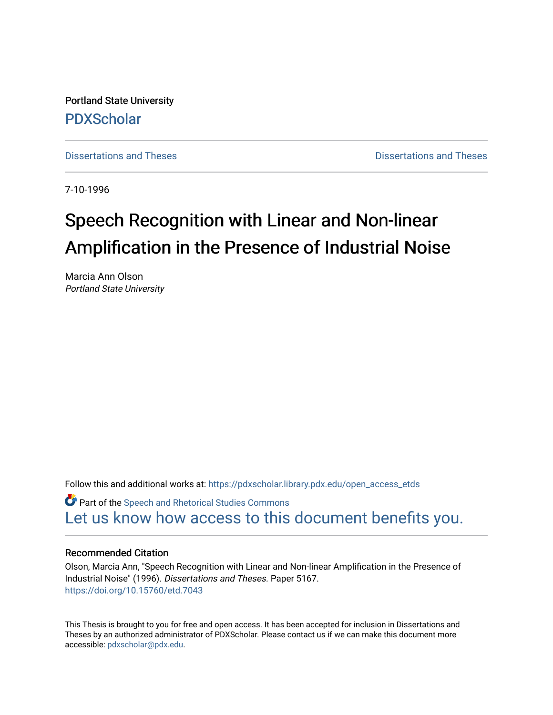Portland State University [PDXScholar](https://pdxscholar.library.pdx.edu/)

[Dissertations and Theses](https://pdxscholar.library.pdx.edu/open_access_etds) **Dissertations** and Theses **Dissertations and Theses** 

7-10-1996

# Speech Recognition with Linear and Non-linear Amplification in the Presence of Industrial Noise

Marcia Ann Olson Portland State University

Follow this and additional works at: [https://pdxscholar.library.pdx.edu/open\\_access\\_etds](https://pdxscholar.library.pdx.edu/open_access_etds?utm_source=pdxscholar.library.pdx.edu%2Fopen_access_etds%2F5167&utm_medium=PDF&utm_campaign=PDFCoverPages)

**C** Part of the Speech and Rhetorical Studies Commons [Let us know how access to this document benefits you.](http://library.pdx.edu/services/pdxscholar-services/pdxscholar-feedback/) 

#### Recommended Citation

Olson, Marcia Ann, "Speech Recognition with Linear and Non-linear Amplification in the Presence of Industrial Noise" (1996). Dissertations and Theses. Paper 5167. <https://doi.org/10.15760/etd.7043>

This Thesis is brought to you for free and open access. It has been accepted for inclusion in Dissertations and Theses by an authorized administrator of PDXScholar. Please contact us if we can make this document more accessible: [pdxscholar@pdx.edu.](mailto:pdxscholar@pdx.edu)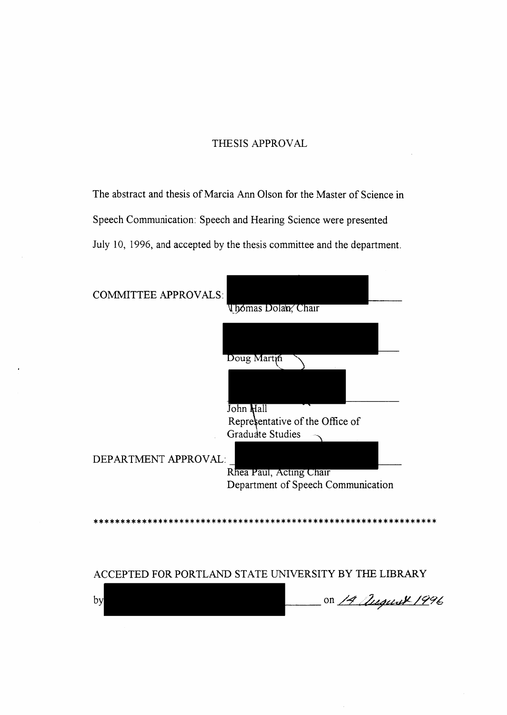#### THESIS APPROVAL

The abstract and thesis of Marcia Ann Olson for the Master of Science in Speech Communication: Speech and Hearing Science were presented July 10, 1996, and accepted by the thesis committee and the department.

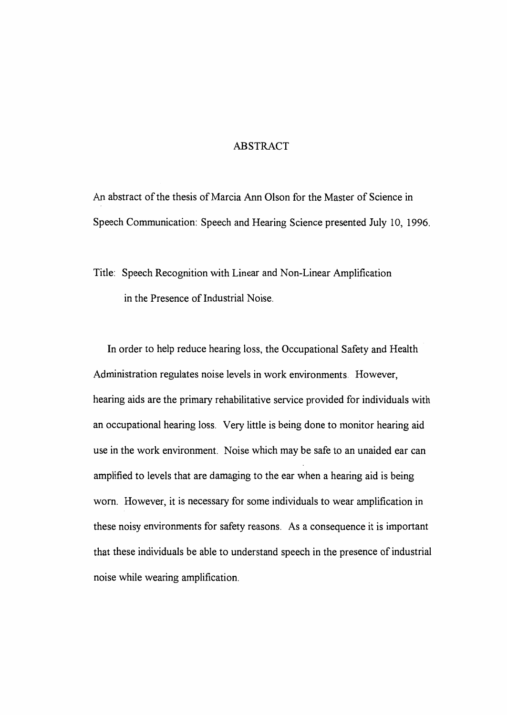#### ABSTRACT

An abstract of the thesis of Marcia Ann Olson for the Master of Science in Speech Communication: Speech and Hearing Science presented July 10, 1996.

Title: Speech Recognition with Linear and Non-Linear Amplification in the Presence of Industrial Noise.

In order to help reduce hearing loss, the Occupational Safety and Health Administration regulates noise levels in work environments. However, hearing aids are the primary rehabilitative service provided for individuals with an occupational hearing loss. Very little is being done to monitor hearing aid use in the work environment. Noise which may be safe to an unaided ear can amplified to levels that are damaging to the ear when a hearing aid is being worn. However, it is necessary for some individuals to wear amplification in these noisy environments for safety reasons. As a consequence it is important that these individuals be able to understand speech in the presence of industrial noise while wearing amplification.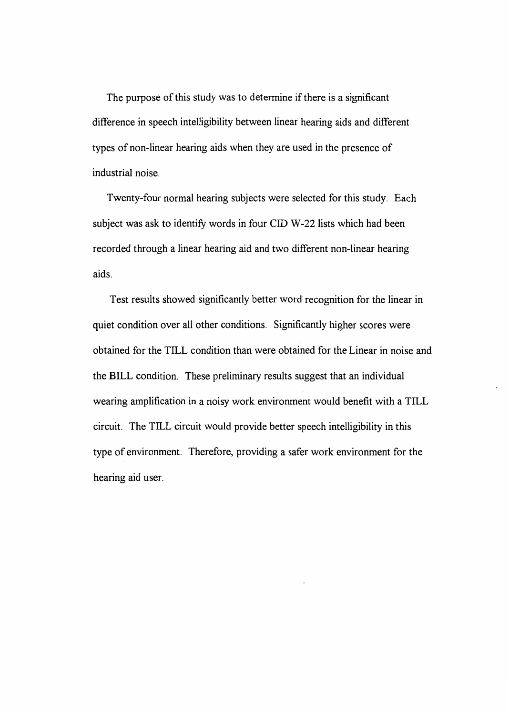The purpose of this study was to determine if there is a significant difference in speech intelligibility between linear hearing aids and different types of non-linear hearing aids when they are used in the presence of industrial noise.

Twenty-four normal hearing subjects were selected for this study. Each subject was ask to identify words in four CID W-22 lists which had been recorded through a linear hearing aid and two different non-linear hearing aids.

Test results showed significantly better word recognition for the linear in quiet condition over all other conditions. Significantly higher scores were obtained for the TILL condition than were obtained for the Linear in noise and the BILL condition. These preliminary results suggest that an individual wearing amplification in a noisy work environment would benefit with a TILL circuit. The TILL circuit would provide better speech intelligibility in this type of environment. Therefore, providing a safer work environment for the hearing aid user.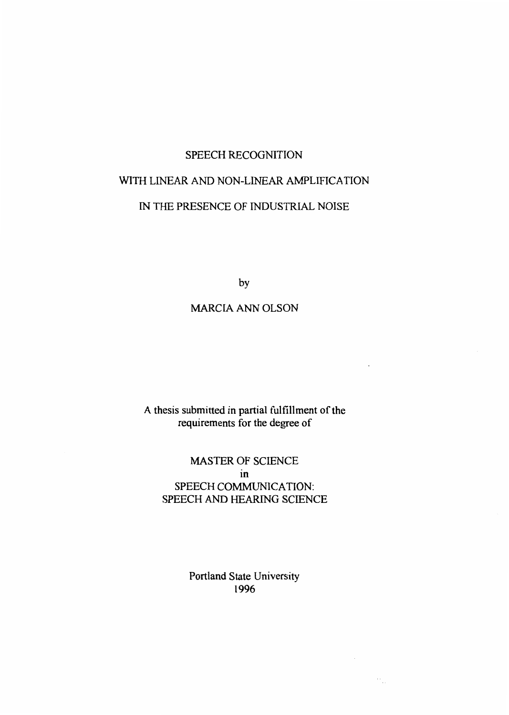### SPEECH RECOGNITION

# WITH LINEAR AND NON-LINEAR AMPLIFICATION IN THE PRESENCE OF INDUSTRIAL NOISE

by

#### MARCIA ANN OLSON

### A thesis submitted in partial fulfillment of the requirements for the degree of

### MASTER OF SCIENCE in SPEECH COMMUNICATION: SPEECH AND HEARING SCIENCE

Portland State University 1996

 $\gamma_{\mu\nu}$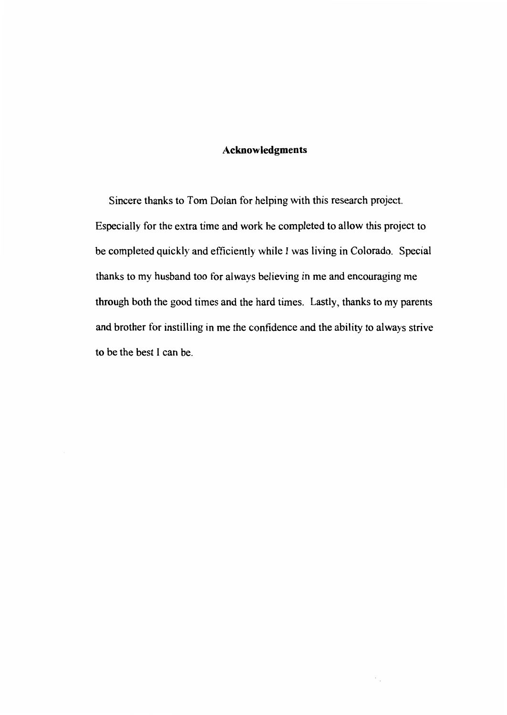#### Acknowledgments

Sincere thanks to Tom Dolan for helping with this research project. Especially for the extra time and work he completed to allow this project to be completed quickly and efficiently while I was living in Colorado. Special thanks to my husband too for always believing in me and encouraging me through both the good times and the hard times. Lastly, thanks to my parents and brother for instilling in me the confidence and the ability to always strive to be the best I can be.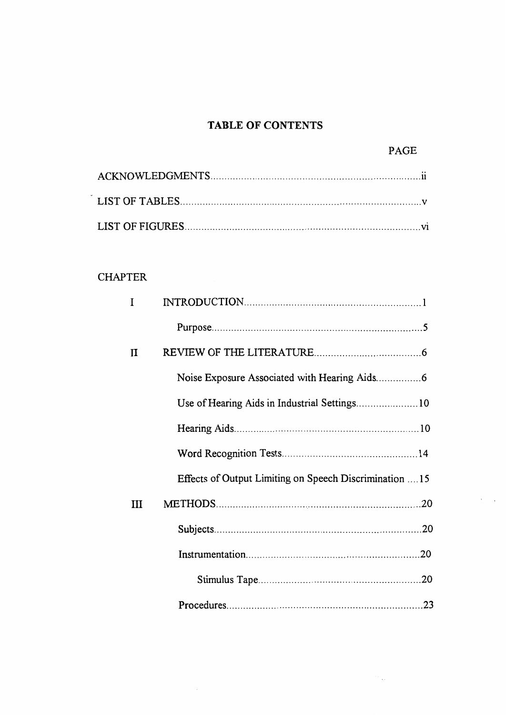### **TABLE OF CONTENTS**

### **CHAPTER**

| I |                                                        |
|---|--------------------------------------------------------|
|   |                                                        |
| П |                                                        |
|   |                                                        |
|   | Use of Hearing Aids in Industrial Settings 10          |
|   |                                                        |
|   |                                                        |
|   | Effects of Output Limiting on Speech Discrimination 15 |
| Ш |                                                        |
|   |                                                        |
|   |                                                        |
|   |                                                        |
|   |                                                        |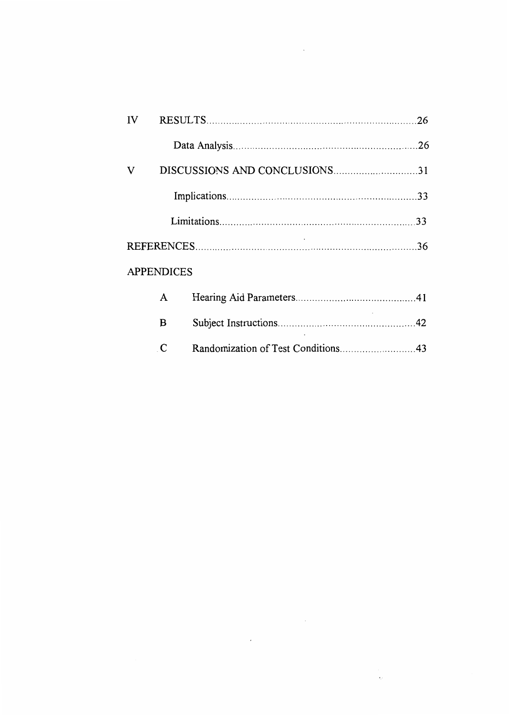| IV |                   |  |
|----|-------------------|--|
|    |                   |  |
| V  |                   |  |
|    |                   |  |
|    |                   |  |
|    |                   |  |
|    | <b>APPENDICES</b> |  |
|    | A                 |  |
|    | B                 |  |
|    | C                 |  |

 $\sim 10^{11}$  km s  $^{-1}$ 

 $\sim 60$ 

 $\mathcal{L}^{\mathcal{L}}(\mathcal{L}^{\mathcal{L}}(\mathcal{L}^{\mathcal{L}}(\mathcal{L}^{\mathcal{L}}(\mathcal{L}^{\mathcal{L}}(\mathcal{L}^{\mathcal{L}}(\mathcal{L}^{\mathcal{L}}(\mathcal{L}^{\mathcal{L}}(\mathcal{L}^{\mathcal{L}}(\mathcal{L}^{\mathcal{L}}(\mathcal{L}^{\mathcal{L}}(\mathcal{L}^{\mathcal{L}}(\mathcal{L}^{\mathcal{L}}(\mathcal{L}^{\mathcal{L}}(\mathcal{L}^{\mathcal{L}}(\mathcal{L}^{\mathcal{L}}(\mathcal{L}^{\mathcal{L$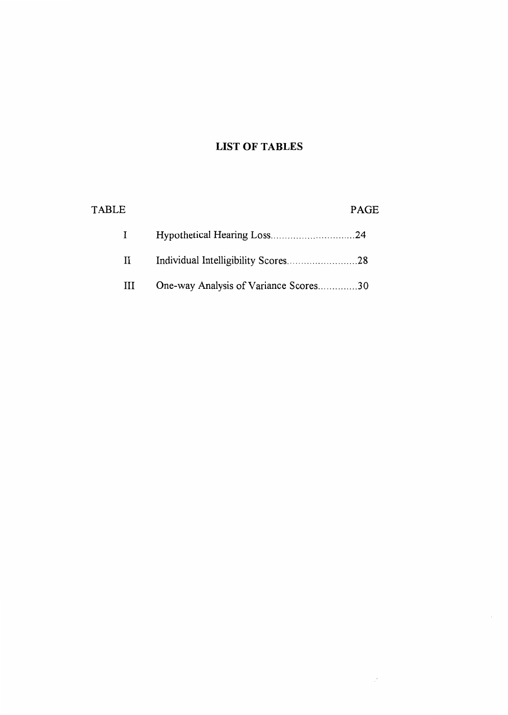### **LIST OF TABLES**

 $\mathcal{F}^{\pm}$ 

| <b>TABLE</b> |              |                                       | PAGE |
|--------------|--------------|---------------------------------------|------|
|              |              |                                       |      |
|              | $\mathbf{H}$ |                                       |      |
|              | Ш            | One-way Analysis of Variance Scores30 |      |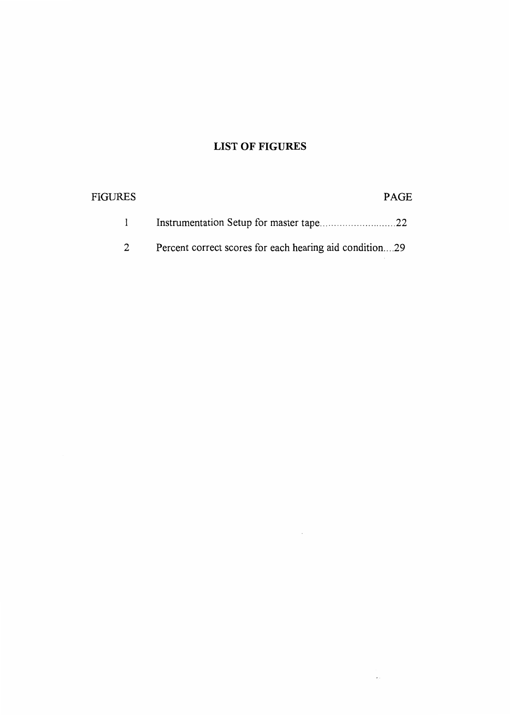### **LIST OF FIGURES**

| FIGURES | <b>PAGE</b>                                             |
|---------|---------------------------------------------------------|
|         |                                                         |
|         | Percent correct scores for each hearing aid condition29 |

 $\sim 10^{-11}$ 

 $\epsilon_{\rm C}$  .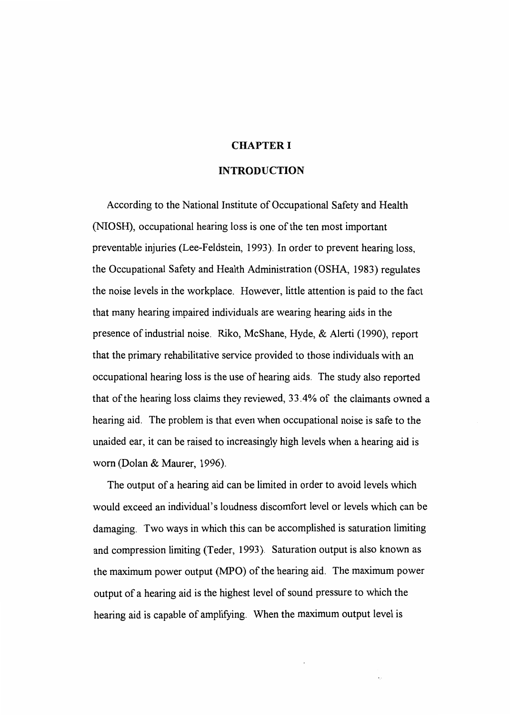#### CHAPTER I

#### INTRODUCTION

According to the National Institute of Occupational Safety and Health (NIOSH), occupational hearing loss is one of the ten most important preventable injuries (Lee-Feldstein, 1993). In order to prevent hearing loss, the Occupational Safety and Health Administration (OSHA, 1983) regulates the noise levels in the workplace. However, little attention is paid to the fact that many hearing impaired individuals are wearing hearing aids in the presence of industrial noise. Riko, McShane, Hyde, & Alerti (I 990), report that the primary rehabilitative service provided to those individuals with an occupational hearing loss is the use of hearing aids. The study also reported that of the hearing loss claims they reviewed, 33.4% of the claimants owned a hearing aid. The problem is that even when occupational noise is safe to the unaided ear, it can be raised to increasingly high levels when a hearing aid is worn (Dolan & Maurer, 1996).

The output of a hearing aid can be limited in order to avoid levels which would exceed an individual's loudness discomfort level or levels which can be damaging. Two ways in which this can be accomplished is saturation limiting and compression limiting (Teder, 1993). Saturation output is also known as the maximum power output (MPO) of the hearing aid. The maximum power output of a hearing aid is the highest level of sound pressure to which the hearing aid is capable of amplifying. When the maximum output level is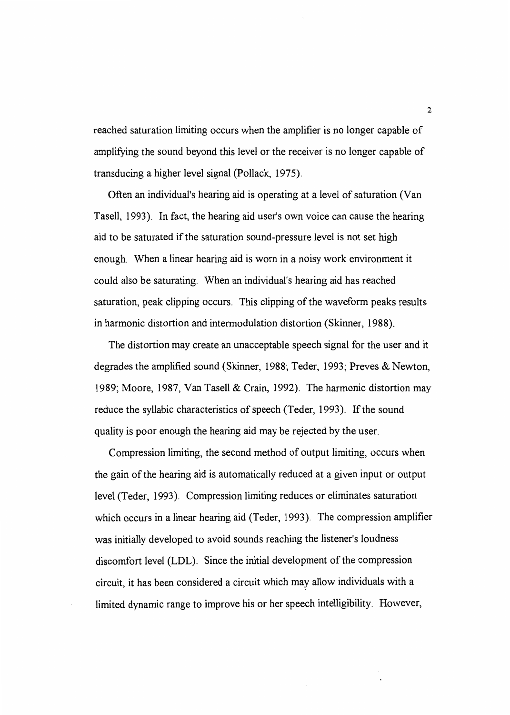reached saturation limiting occurs when the amplifier is no longer capable of amplifying the sound beyond this level or the receiver is no longer capable of transducing a higher level signal (Pollack, 1975).

Often an individual's hearing aid is operating at a level of saturation (Van Tasell, 1993). In fact, the hearing aid user's own voice can cause the hearing aid to be saturated if the saturation sound-pressure level is not set high enough. When a linear hearing aid is worn in a noisy work environment it could also be saturating. When an individual's hearing aid has reached saturation, peak clipping occurs. This clipping of the waveform peaks results in harmonic distortion and intermodulation distortion (Skinner, 1988).

The distortion may create an unacceptable speech signal for the user and it degrades the amplified sound (Skinner, 1988; Teder, 1993; Preves & Newton, 1989; Moore, 1987, Van Tasell & Crain, 1992). The harmonic distortion may reduce the syllabic characteristics of speech (Teder, 1993). If the sound quality is poor enough the hearing aid may be rejected by the user.

Compression limiting, the second method of output limiting, occurs when the gain of the hearing aid is automatically reduced at a given input or output level (Teder, 1993). Compression limiting reduces or eliminates saturation which occurs in a linear hearing aid (Teder, 1993). The compression amplifier was initially developed to avoid sounds reaching the listener's loudness discomfort level (LDL). Since the initial development of the compression circuit, it has been considered a circuit which may allow individuals with a limited dynamic range to improve his or her speech intelligibility. However,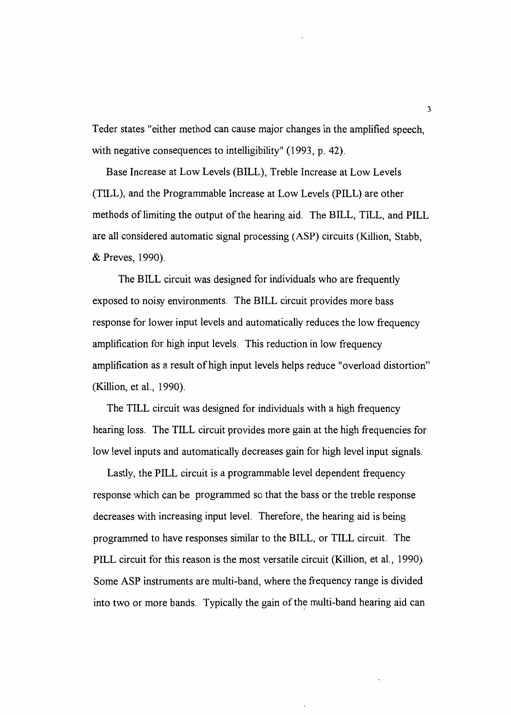Teder states "either method can cause major changes in the amplified speech, with negative consequences to intelligibility" (1993, p. 42).

Base Increase at Low Levels (BILL), Treble Increase at Low Levels (TILL), and the Programmable Increase at Low Levels (PILL) are other methods of limiting the output of the hearing aid. The BILL, TILL, and PILL are all considered automatic signal processing (ASP) circuits (Killion, Stabb, & Preves, 1990).

The BILL circuit was designed for individuals who are frequently exposed to noisy environments. The BILL circuit provides more bass response for lower input levels and automatically reduces the low frequency amplification for high input levels. This reduction in low frequency amplification as a result of high input levels helps reduce "overload distortion" (Killion, et al., 1990).

The TILL circuit was designed for individuals with a high frequency hearing loss. The TILL circuit provides more gain at the high frequencies for low level inputs and automatically decreases gain for high level input signals.

Lastly, the PILL circuit is a programmable level dependent frequency response which can be programmed so that the bass or the treble response decreases with increasing input level. Therefore, the hearing aid is being programmed to have responses similar to the BILL, or TILL circuit. The PILL circuit for this reason is the most versatile circuit (Killion, et al., 1990). Some ASP instruments are multi-band, where the frequency range is divided into two or more bands. Typically the gain of the multi-band hearing aid can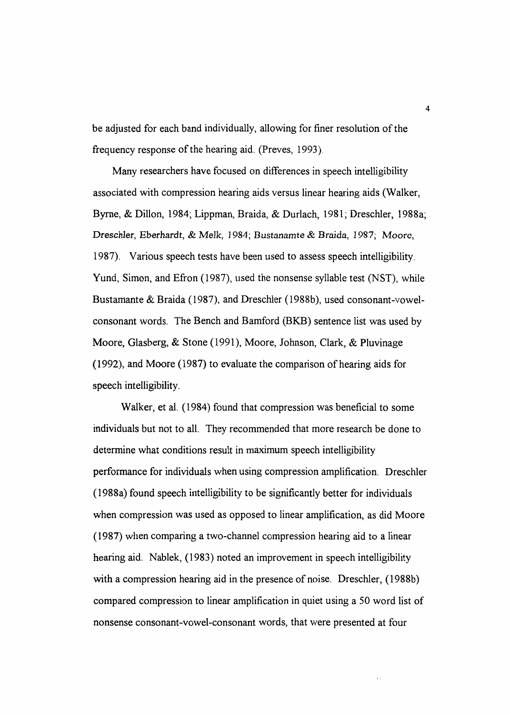be adjusted for each band individually, allowing for finer resolution of the frequency response of the hearing aid. (Preves, 1993).

Many researchers have focused on differences in speech intelligibility associated with compression hearing aids versus linear hearing aids (Walker, Byrne, & Dillon, 1984; Lippman, Braida, & Durlach, 1981; Dreschler, 1988a; Dresch1er, Eberhardt, & Melk, 1984; Bustanamte & *Braida,* 1987; Moore, 1987). Various speech tests have been used to assess speech intelligibility. Yund, Simon, and Efron ( 1987), used the nonsense syllable test (NST), while Bustamante & Braida (1987), and Dreschler (1988b), used consonant-vowelconsonant words. The Bench and Bamford (BKB) sentence list was used by Moore, Glasberg, & Stone ( 1991 ), Moore, Johnson, Clark, & Pluvinage (1992), and Moore (1987) to evaluate the comparison of hearing aids for speech intelligibility.

Walker, et al. (1984) found that compression was beneficial to some individuals but not to all. They recommended that more research be done to determine what conditions result in maximum speech intelligibility performance for individuals when using compression amplification. Dreschler (1988a) found speech intelligibility to be significantly better for individuals when compression was used as opposed to linear amplification, as did Moore (1987) when comparing a two-channel compression hearing aid to a linear hearing aid. Nablek, (1983) noted an improvement in speech intelligibility with a compression hearing aid in the presence of noise. Dreschler, (1988b) compared compression to linear amplification in quiet using a 50 word list of nonsense consonant-vowel-consonant words, that were presented at four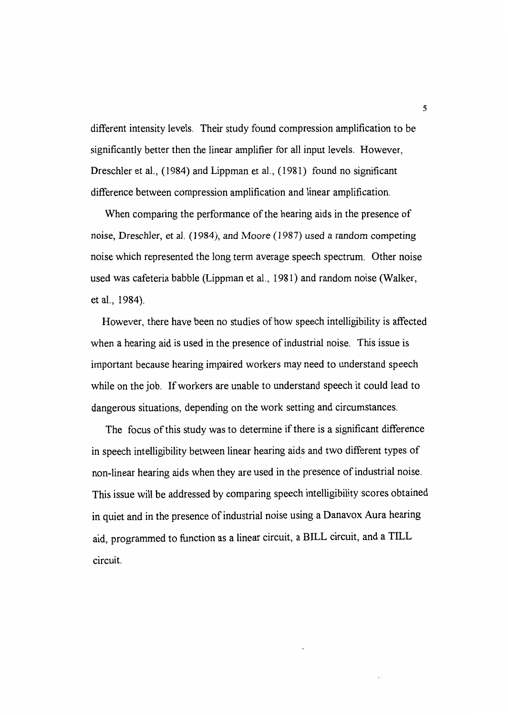different intensity levels. Their study found compression amplification to be significantly better then the linear amplifier for all input levels. However, Dreschler et al., ( 1984) and Lippman et al., ( 1981) found no significant difference between compression amplification and linear amplification.

When comparing the performance of the hearing aids in the presence of noise, Dreschler, et al. (1984), and Moore (1987) used a random competing noise which represented the long term average speech spectrum. Other noise used was cafeteria babble (Lippman et al., 1981) and random noise (Walker, et al., 1984).

However, there have been no studies of how speech intelligibility is affected when a hearing aid is used in the presence of industrial noise. This issue is important because hearing impaired workers may need to understand speech while on the job. If workers are unable to understand speech it could lead to dangerous situations, depending on the work setting and circumstances.

The focus of this study was to determine if there is a significant difference in speech intelligibility between linear hearing aids and two different types of non-linear hearing aids when they are used in the presence of industrial noise. This issue will be addressed by comparing speech intelligibility scores obtained in quiet and in the presence of industrial noise using a Danavox Aura hearing aid, programmed to function as a linear circuit, a BILL circuit, and a TILL circuit.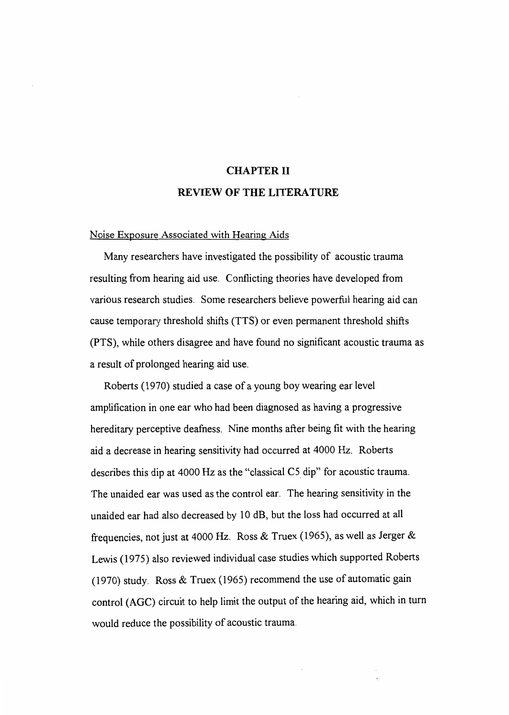# CHAPTER II REVIEW OF THE LITERATURE

#### Noise Exposure Associated with Hearing Aids

Many researchers have investigated the possibility of acoustic trauma resulting from hearing aid use. Conflicting theories have developed from various research studies. Some researchers believe powerful hearing aid can cause temporary threshold shifts (TTS) or even permanent threshold shifts (PTS), while others disagree and have found no significant acoustic trauma as a result of prolonged hearing aid use.

Roberts (1970) studied a case of a young boy wearing ear level amplification in one ear who had been diagnosed as having a progressive hereditary perceptive deafness. Nine months after being fit with the hearing aid a decrease in hearing sensitivity had occurred at 4000 Hz. Roberts describes this dip at 4000 Hz as the "classical C5. dip" for acoustic trauma. The unaided ear was used as the control ear. The hearing sensitivity in the unaided ear had also decreased by 10 dB, but the loss had occurred at all frequencies, not just at 4000 Hz. Ross & Truex (1965), as well as Jerger & Lewis (1975) also reviewed individual case studies which supported Roberts (1970) study. Ross & Truex (1965) recommend the use of automatic gain control (AGC) circuit to help limit the output of the hearing aid, which in turn would reduce the possibility of acoustic trauma.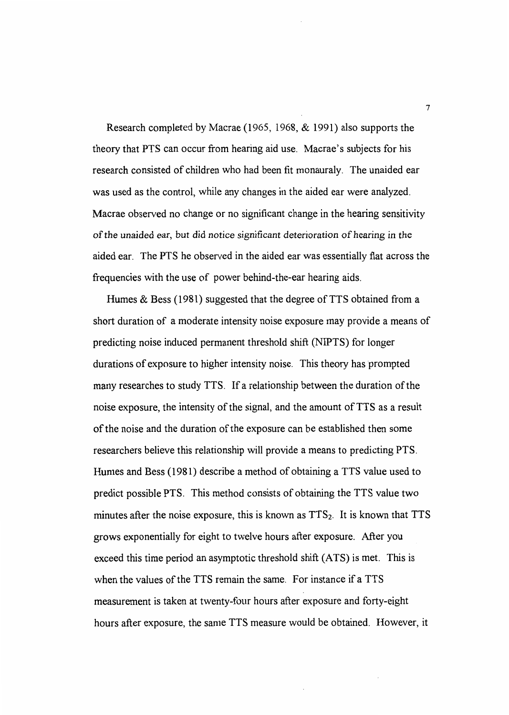Research completed by Macrae (1965, 1968, & 1991) also supports the theory that PTS can occur from hearing aid use. Macrae's subjects for his research consisted of children who had been fit monauraly. The unaided ear was used as the control, while any changes in the aided ear were analyzed. Macrae observed no change or no significant change in the hearing sensitivity of the unaided ear, but did notice significant deterioration of hearing *in* the aided ear. The PTS he observed in the aided ear was essentially flat across the frequencies with the use of power behind-the-ear hearing aids.

Humes  $&$  Bess (1981) suggested that the degree of TTS obtained from a short duration of a moderate intensity noise exposure may provide a means of predicting noise induced permanent threshold shift (NIPTS) for longer durations of exposure to higher intensity noise. This theory has prompted many researches to study TTS. If a relationship between the duration of the noise exposure, the intensity of the signal, and the amount of TTS as a result of the noise and the duration of the exposure can be established then some researchers believe this relationship will provide a means to predicting PTS. Humes and Bess (1981) describe a method of obtaining a TTS value used to predict possible PTS. This method consists of obtaining the TTS value two minutes after the noise exposure, this is known as  $TTS<sub>2</sub>$ . It is known that TTS grows exponentially for eight to twelve hours after exposure. After you exceed this time period an asymptotic threshold shift (ATS) is met. This is when the values of the TTS remain the same. For instance if a TTS measurement is taken at twenty-four hours after exposure and forty-eight hours after exposure, the same TTS measure would be obtained. However, it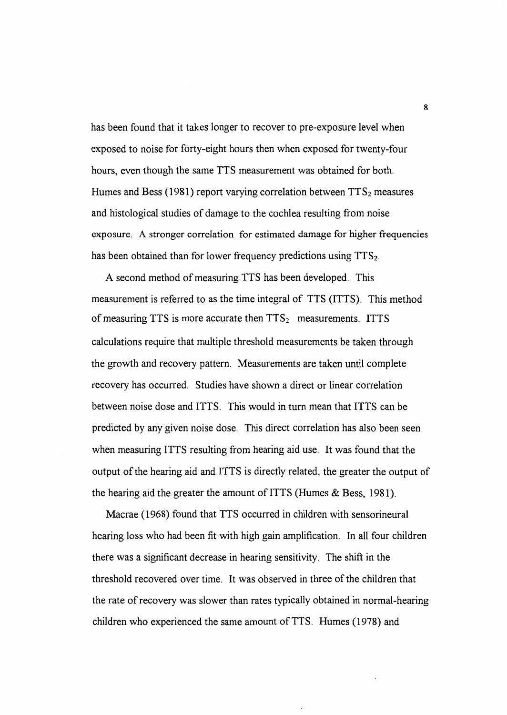has been found that it takes longer to recover to pre-exposure level when exposed to noise for forty-eight hours then when exposed for twenty-four hours, even though the same TTS measurement was obtained for both. Humes and Bess (1981) report varying correlation between  $TTS_2$  measures and histological studies of damage to the cochlea resulting from noise exposure. A stronger correlation for estimated damage for higher frequencies has been obtained than for lower frequency predictions using  $TTS<sub>2</sub>$ .

A second method of measuring TTS has been developed. This measurement is referred to as the time integral of TTS (ITTS). This method of measuring TTS is more accurate then  $TTS<sub>2</sub>$  measurements. ITTS calculations require that multiple threshold measurements be taken through the growth and recovery pattern. Measurements are taken until complete recovery has occurred. Studies have shown a direct or linear correlation between noise dose and ITTS. This would in turn mean that ITTS can be predicted by any given noise dose. This direct correlation has also been seen when measuring ITTS resulting from hearing aid use. It was found that the output of the hearing aid and ITTS is directly related, the greater the output of the hearing aid the greater the amount of ITTS (Humes  $\&$  Bess, 1981).

Macrae (1968) found that TTS occurred in children with sensorineural hearing loss who had been fit with high gain amplification. In all four children there was a significant decrease in hearing sensitivity. The shift in the threshold recovered over time. It was observed in three of the children that the rate of recovery was slower than rates typically obtained in normal-hearing children who experienced the same amount of TTS. Humes (1978) and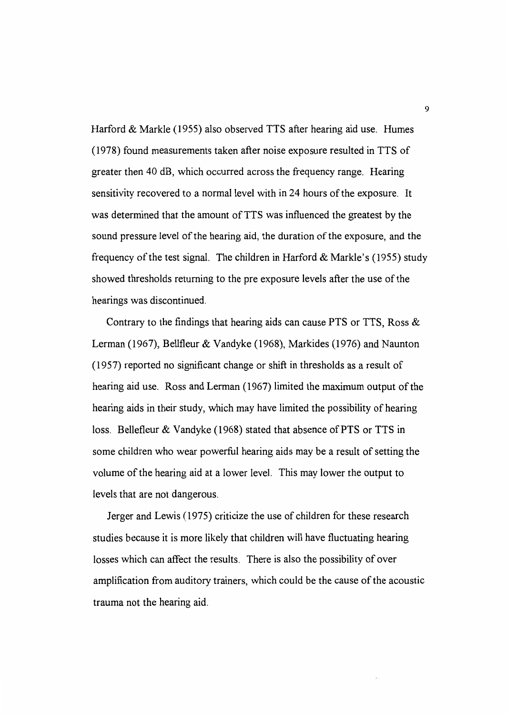Harford & Markle (1955) also observed TTS after hearing aid use. Humes (1978) found measurements taken after noise exposure resulted in TTS of greater then 40 dB, which occurred across the frequency range. Hearing sensitivity recovered to a normal level with in 24 hours of the exposure. It was determined that the amount of TTS was influenced the greatest by the sound pressure level of the hearing aid, the duration of the exposure, and the frequency of the test signal. The children in Harford  $&$  Markle's (1955) study showed thresholds returning to the pre exposure levels after the use of the hearings was discontinued.

Contrary to the findings that hearing aids can cause PTS or TTS, Ross & Lerman (1967), Bellfleur & Vandyke (1968), Markides (1976) and Naunton (1957) reported no significant change or shift in thresholds as a result of hearing aid use. Ross and Lerman ( 1967) limited the maximum output of the hearing aids in their study, which may have limited the possibility of hearing loss. Bellefleur & Vandyke (1968) stated that absence of PTS or TTS in some children who wear powerful hearing aids may be a result of setting the volume of the hearing aid at a lower level. This may lower the output to levels that are not dangerous.

Jerger and Lewis (1975) criticize the use of children for these research studies because it is more likely that children will have fluctuating hearing losses which can affect the results. There is also the possibility of over amplification from auditory trainers, which could be the cause of the acoustic trauma not the hearing aid.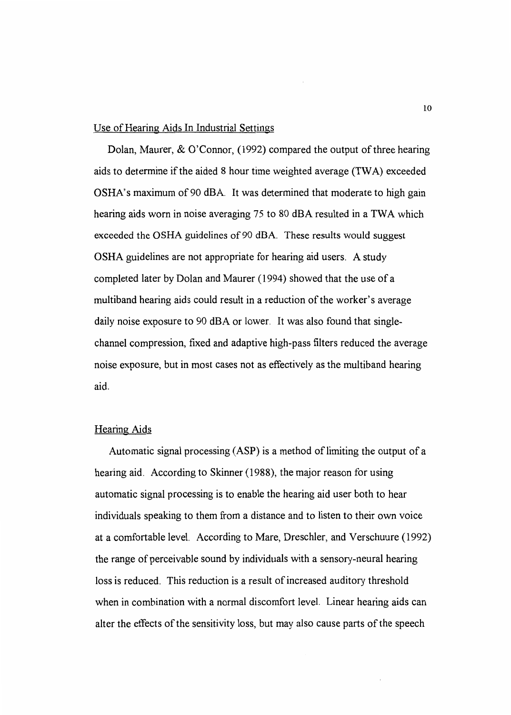#### Use of Hearing Aids In Industrial Settings

Dolan, Maurer, & O'Connor, (1992) compared the output of three hearing aids to determine if the aided 8 hour time weighted average (TWA) exceeded OSHA's maximum of 90 dBA. It was determined that moderate to high gain hearing aids worn in noise averaging 75 to 80 dBA resulted in a TWA which exceeded the OSHA guidelines of 90 dBA. These results would suggest OSHA guidelines are not appropriate for hearing aid users. A study completed later by Dolan and Maurer ( 1994) showed that the use of a multiband hearing aids could result in a reduction of the worker's average daily noise exposure to 90 dBA or lower. It was also found that singlechannel compression, fixed and adaptive high-pass filters reduced the average noise exposure, but in most cases not as effectively as the multiband hearing aid.

#### Hearing Aids

Automatic signal processing  $(ASP)$  is a method of limiting the output of a hearing aid. According to Skinner (1988), the major reason for using automatic signal processing is to enable the hearing aid user both to hear individuals speaking to them from a distance and to listen to their own voice at a comfortable level. According to Mare, Dreschler, and Verschuure ( 1992) the range of perceivable sound by individuals with a sensory-neural hearing loss is reduced. This reduction is a result of increased auditory threshold when in combination with a normal discomfort level. Linear hearing aids can alter the effects of the sensitivity loss, but may also cause parts of the speech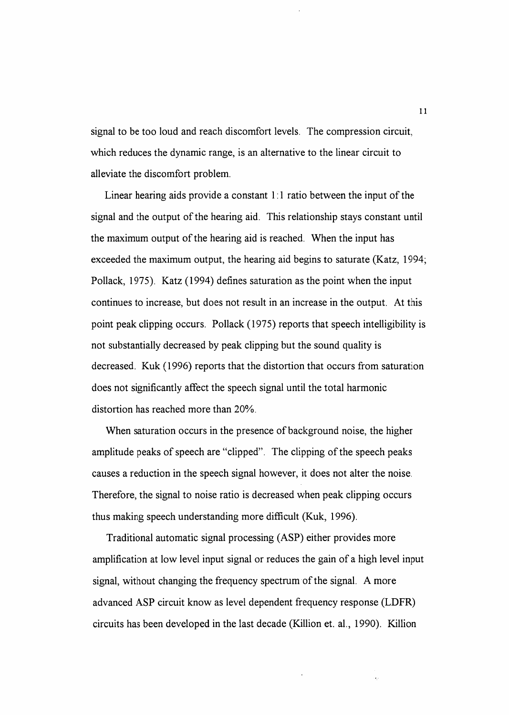signal to be too loud and reach discomfort levels. The compression circuit, which reduces the dynamic range, is an alternative to the linear circuit to alleviate the discomfort problem.

Linear hearing aids provide a constant  $1:1$  ratio between the input of the signal and the output of the hearing aid. This relationship stays constant until the maximum output of the hearing aid is reached. When the input has exceeded the maximum output, the hearing aid begins to saturate (Katz, 1994; Pollack, 1975). Katz (1994) defines saturation as the point when the input continues to increase, but does not result in an increase in the output. At this point peak clipping occurs. Pollack (1975) reports that speech intelligibility is not substantially decreased by peak clipping but the sound quality is decreased. Kuk ( 1996) reports that the distortion that occurs from saturation does not significantly affect the speech signal until the total harmonic distortion has reached more than 20%.

When saturation occurs in the presence of background noise, the higher amplitude peaks of speech are "clipped". The clipping of the speech peaks causes a reduction in the speech signal however, it does not alter the noise. Therefore, the signal to noise ratio is decreased when peak clipping occurs thus making speech understanding more difficult (Kuk, 1996).

Traditional automatic signal processing (ASP) either provides more amplification at low level input signal or reduces the gain of a high level input signal, without changing the frequency spectrum of the signal. A more advanced ASP circuit know as level dependent frequency response (LDFR) circuits has been developed in the last decade (Killion et. al., 1990). Killion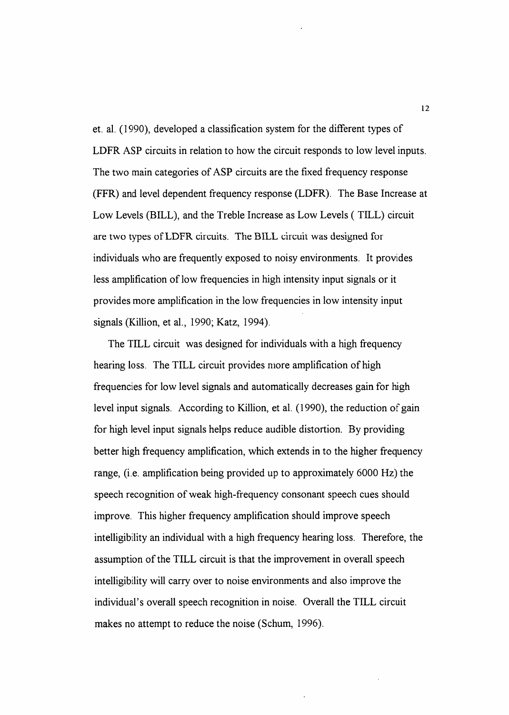et. al. ( 1990), developed a classification system for the different types of LDFR ASP circuits in relation to how the circuit responds to low level inputs. The two main categories of ASP circuits are the fixed frequency response (FFR) and level dependent frequency response (LDFR). The Base Increase at Low Levels (BILL), and the Treble Increase as Low Levels (TILL) circuit are two types ofLDFR circuits. The BILL circuit was designed for individuals who are frequently exposed to noisy environments. It provides less amplification of low frequencies in high intensity input signals or it provides more amplification in the low frequencies in low intensity input signals (Killion, et al., 1990; Katz, 1994).

The TILL circuit was designed for individuals with a high frequency hearing loss. The TILL circuit provides more amplification of high frequencies for low level signals and automatically decreases gain for high level input signals. According to Killion, et al. (1990), the reduction of gain for high level input signals helps reduce audible distortion. By providing better high frequency amplification, which extends in to the higher frequency range, (i.e. amplification being provided up to approximately 6000 Hz) the speech recognition of weak high-frequency consonant speech cues should improve. This higher frequency amplification should improve speech intelligibility an individual with a high frequency hearing loss. Therefore, the assumption of the TILL circuit is that the improvement in overall speech intelligibility will carry over to noise environments and also improve the individual's overall speech recognition in noise. Overall the TILL circuit makes no attempt to reduce the noise (Schum, 1996).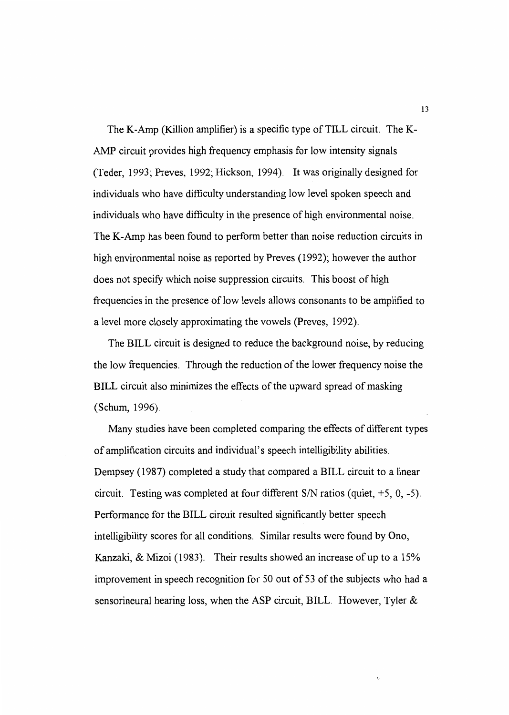The K-Amp (Killion amplifier) is a specific type of TILL circuit. The K-AMP circuit provides high frequency emphasis for low intensity signals (Teder, 1993; Preves, 1992; Hickson, 1994). It was originally designed for individuals who have difficulty understanding low level spoken speech and individuals who have difficulty in the presence of high environmental noise. The K-Amp has been found to perform better than noise reduction circuits in high environmental noise as reported by Preves (1992); however the author does not specify which noise suppression circuits. This boost of high frequencies in the presence of low levels allows consonants to be amplified to a level more closely approximating the vowels (Preves, 1992).

The BILL circuit is designed to reduce the background noise, by reducing the low frequencies. Through the reduction of the lower frequency noise the BILL circuit also minimizes the effects of the upward spread of masking (Schum, 1996).

Many studies have been completed comparing the effects of different types of amplification circuits and individual's speech intelligibility abilities. Dempsey (1987) completed a study that compared a BILL circuit to a linear circuit. Testing was completed at four different *SIN* ratios (quiet, +5, 0, -5). Performance for the BILL circuit resulted significantly better speech intelligibility scores for all conditions. Similar results were found by Ono, Kanzaki, & Mizoi (1983). Their results showed an increase of up to a 15% improvement in speech recognition for 50 out of 53 of the subjects who had a sensorineural hearing loss, when the ASP circuit, BILL. However, Tyler &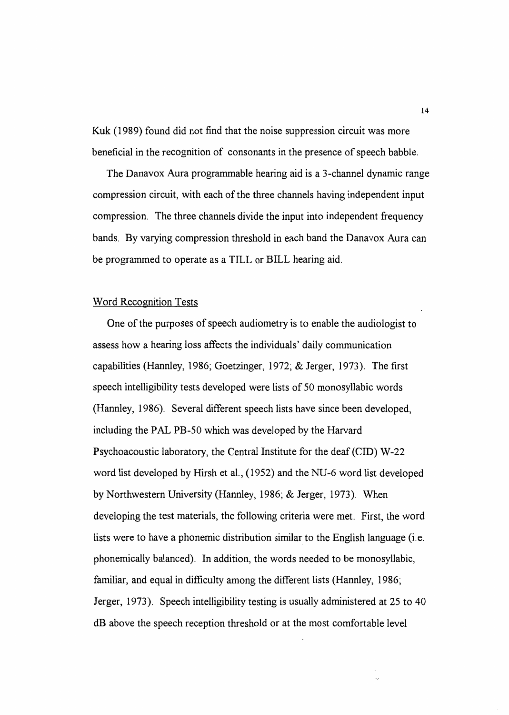Kuk (1989) found did not find that the noise suppression circuit was more beneficial in the recognition of consonants in the presence of speech babble.

The Danavox Aura programmable hearing aid is a 3-channel dynamic range compression circuit, with each of the three channels having independent input compression. The three channels divide the input into independent frequency bands. By varying compression threshold in each band the Danavox Aura can be programmed to operate as a TILL or BILL hearing aid.

#### Word Recognition Tests

One of the purposes of speech audiometry is to enable the audiologist to assess how a hearing loss affects the individuals' daily communication capabilities (Hannley, 1986; Goetzinger, 1972; & Jerger, 1973). The first speech intelligibility tests developed were lists of 50 monosyllabic words (Hannley, 1986). Several different speech lists have since been developed, including the PAL PB-50 which was developed by the Harvard Psychoacoustic laboratory, the Central Institute for the deaf (CID) W-22 word list developed by Hirsh et al., (1952) and the NU-6 word list developed by Northwestern University (Hannley, 1986; & Jerger, 1973). When developing the test materials, the following criteria were met. First, the word lists were to have a phonemic distribution similar to the English language (i.e. phonemically balanced). In addition, the words needed to be monosyllabic, familiar, and equal in difficulty among the different lists (Hannley, 1986; Jerger, 1973). Speech intelligibility testing is usually administered at 25 to 40 dB above the speech reception threshold or at the most comfortable level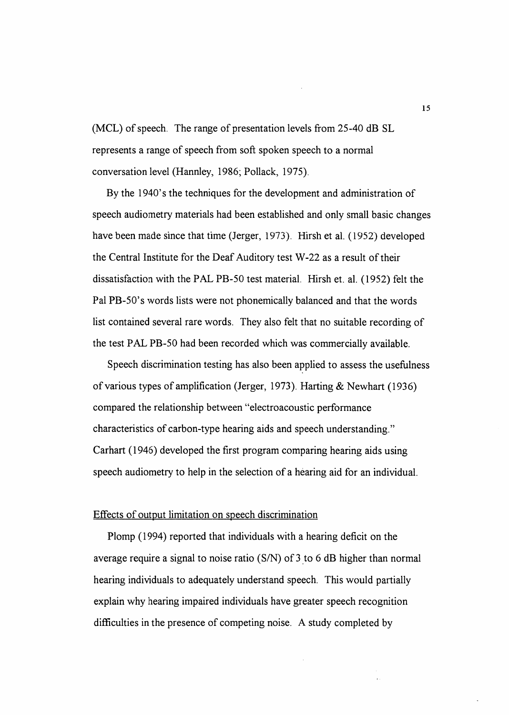(MCL) of speech. The range of presentation levels from 25-40 dB SL represents a range of speech from soft spoken speech to a normal conversation level (Hannley, 1986; Pollack, 1975).

By the l 940's the techniques for the development and administration of speech audiometry materials had been established and only small basic changes have been made since that time (Jerger, 1973). Hirsh et al. ( 1952) developed the Central Institute for the Deaf Auditory test W-22 as a result of their dissatisfaction with the PAL PB-50 test material. Hirsh et. al. ( 1952) felt the Pal PB-50's words lists were not phonemically balanced and that the words list contained several rare words. They also felt that no suitable recording of the test PAL PB-50 had been recorded which was commercially available.

Speech discrimination testing has also been applied to assess the usefulness of various types of amplification (Jerger, 1973). Harting & Newhart (1936) compared the relationship between "electroacoustic performance characteristics of carbon-type hearing aids and speech understanding." Carhart ( 1946) developed the first program comparing hearing aids using speech audiometry to help in the selection of a hearing aid for an individual.

#### Effects of output limitation on speech discrimination

Plomp (1994) reported that individuals with a hearing deficit on the average require a signal to noise ratio (S/N) of 3 to 6 dB higher than normal hearing individuals to adequately understand speech. This would partially explain why hearing impaired individuals have greater speech recognition difficulties in the presence of competing noise. A study completed by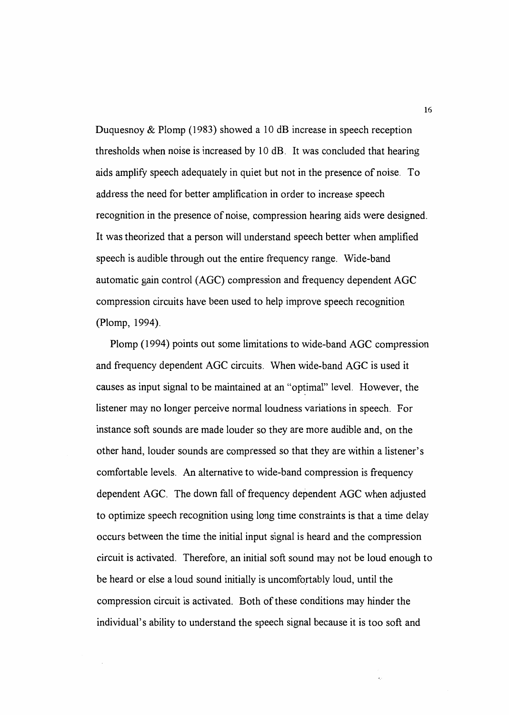Duquesnoy  $&$  Plomp (1983) showed a 10 dB increase in speech reception thresholds when noise is increased by 10 dB. It was concluded that hearing aids amplify speech adequately in quiet but not in the presence of noise. To address the need for better amplification in order to increase speech recognition in the presence of noise, compression hearing aids were designed. It was theorized that a person will understand speech better when amplified speech is audible through out the entire frequency range. Wide-band automatic gain control (AGC) compression and frequency dependent AGC compression circuits have been used to help improve speech recognition (Plomp, 1994).

Plomp ( 1994) points out some limitations to wide-band AGC compression and frequency dependent AGC circuits. \Vhen wide-band AGC is used it causes as input signal to be maintained at an "optimal" level. However, the listener may no longer perceive normal loudness variations in speech. For instance soft sounds are made louder so they are more audible and, on the other hand, louder sounds are compressed so that they are within a listener's comfortable levels. An alternative to wide-band compression is frequency dependent AGC. The down fall of frequency dependent AGC when adjusted to optimize speech recognition using long time constraints is that a time delay occurs between the time the initial input signal is heard and the compression circuit is activated. Therefore, an initial soft sound may not be loud enough to be heard or else a loud sound initially is uncomfortably loud, until the compression circuit is activated. Both of these conditions may hinder the individual's ability to understand the speech signal because it is too soft and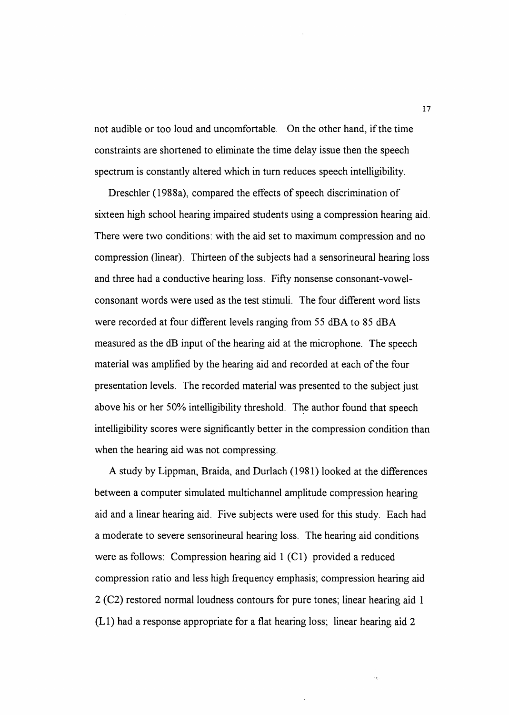not audible or too loud and uncomfortable. On the other hand, if the time constraints are shortened to eliminate the time delay issue then the speech spectrum is constantly altered which in turn reduces speech intelligibility.

Dreschler (1988a), compared the effects of speech discrimination of sixteen high school hearing impaired students using a compression hearing aid. There were two conditions: with the aid set to maximum compression and no compression (linear). Thirteen of the subjects had a sensorineural hearing loss and three had a conductive hearing loss. Fifty nonsense consonant-vowelconsonant words were used as the test stimuli. The four different word lists were recorded at four different levels ranging from 55 dBA to 85 dBA measured as the dB input of the hearing aid at the microphone. The speech material was amplified by the hearing aid and recorded at each of the four presentation levels. The recorded material was presented to the subject just above his or her 50% intelligibility threshold. The author found that speech intelligibility scores were significantly better in the compression condition than when the hearing aid was not compressing.

A study by Lippman, Braida, and Durlach ( 1981) looked at the differences between a computer simulated multichannel amplitude compression hearing aid and a linear hearing aid. Five subjects were used for this study. Each had a moderate to severe sensorineural hearing loss. The hearing aid conditions were as follows: Compression hearing aid 1 (Cl) provided a reduced compression ratio and less high frequency emphasis; compression hearing aid 2 (C2) restored normal loudness contours for pure tones; linear hearing aid 1  $(L1)$  had a response appropriate for a flat hearing loss; linear hearing aid 2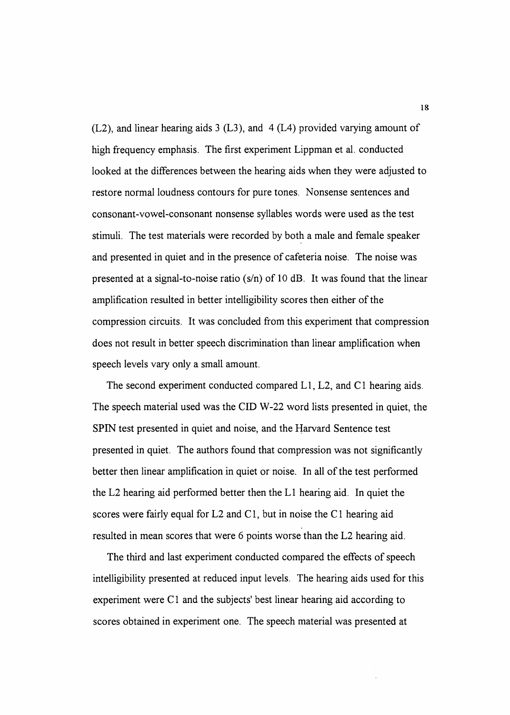(L2), and linear hearing aids 3 (L3), and 4 (L4) provided varying amount of high frequency emphasis. The first experiment Lippman et al. conducted looked at the differences between the hearing aids when they were adjusted to restore normal loudness contours for pure tones. Nonsense sentences and consonant-vowel-consonant nonsense syllables words were used as the test stimuli. The test materials were recorded by both a male and female speaker and presented in quiet and in the presence of cafeteria noise. The noise was presented at a signal-to-noise ratio (s/n) of 10 dB. It was found that the linear amplification resulted in better intelligibility scores then either of the compression circuits. It was concluded from this experiment that compression does not result in better speech discrimination than linear amplification when speech levels vary only a small amount.

The second experiment conducted compared L1, L2, and C1 hearing aids. The speech material used was the CID W-22 word lists presented in quiet, the SPIN test presented in quiet and noise, and the Harvard Sentence test presented in quiet. The authors found that compression was not significantly better then linear amplification in quiet or noise. In all of the test performed the L2 hearing aid performed better then the LI hearing aid. In quiet the scores were fairly equal for  $L2$  and  $C1$ , but in noise the  $C1$  hearing aid resulted in mean scores that were 6 points worse than the L2 hearing aid.

The third and last experiment conducted compared the effects of speech intelligibility presented at reduced input levels. The hearing aids used for this experiment were  $C1$  and the subjects' best linear hearing aid according to scores obtained in experiment one. The speech material was presented at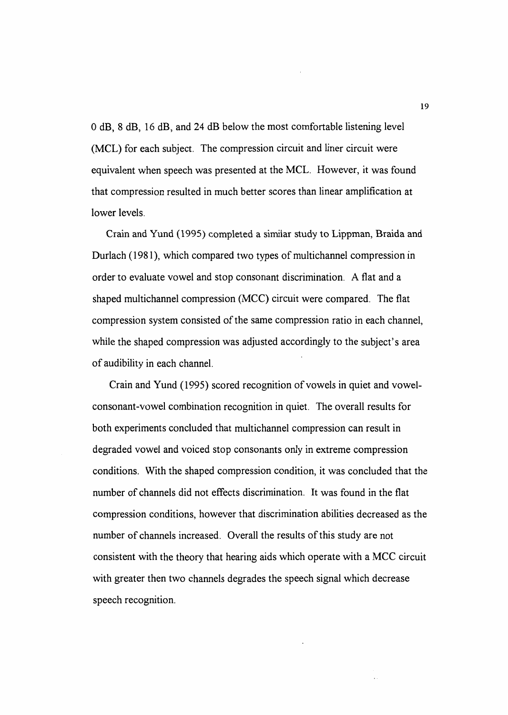0 dB, 8 dB, 16 dB, and 24 dB below the most comfortable listening level (MCL) for each subject. The compression circuit and liner circuit were equivalent when speech was presented at the MCL. However, it was found that compression resulted in much better scores than linear amplification at lower levels.

Crain and Yund (1995) completed a similar study to Lippman, Braida and Durlach (1981), which compared two types of multichannel compression in order to evaluate vowel and stop consonant discrimination. A flat and a shaped multichannel compression (MCC) circuit were compared. The flat compression system consisted of the same compression ratio in each channel, while the shaped compression was adjusted accordingly to the subject's area of audibility in each channel.

Crain and Yund (1995) scored recognition of vowels in quiet and vowelconsonant-vowel combination recognition in quiet. The overall results for both experiments concluded that multichannel compression can result in degraded vowel and voiced stop consonants only in extreme compression conditions. With the shaped compression condition, it was concluded that the number of channels did not effects discrimination. It was found in the flat compression conditions, however that discrimination abilities decreased as the number of channels increased. Overall the results of this study are not consistent with the theory that hearing aids which operate with a MCC circuit with greater then two channels degrades the speech signal which decrease speech recognition.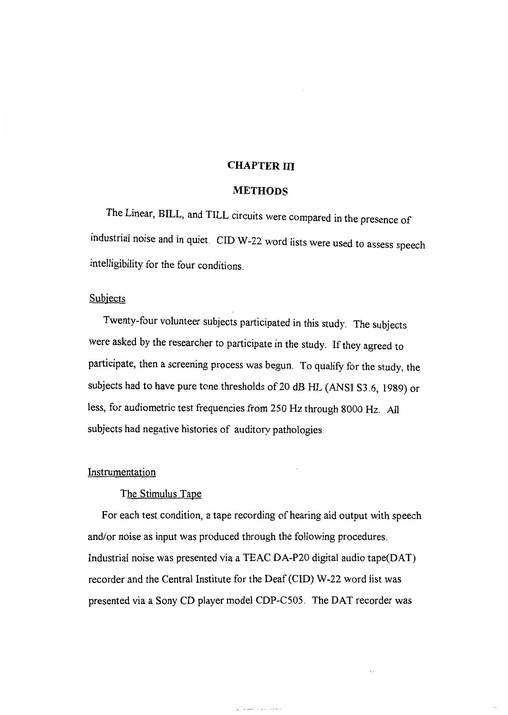#### **CHAPTER** III

#### **METHODS**

The Linear, BILL, and TILL circuits were compared in the presence of industrial noise and in quiet. CID W-22 word lists were used to assess speech intelligibility for the four conditions.

#### **Subjects**

Twenty-four volunteer subjects participated in this study. The subjects were asked by the researcher to participate in the study. If they agreed to participate, then a screening process was begun. To qualify for the study, the subjects had to have pure tone thresholds of 20 dB HL (ANSI S3.6, 1989) or less, for audiometric test frequencies from 250 Hz through 8000 Hz. All subjects had negative histories of auditory pathologies.

#### **Instrumentation**

#### The Stimulus Tape

For each test condition, a tape recording of hearing aid output with speech and/or noise as input was produced through the following procedures. Industrial noise was presented via a TEAC DA-P20 digital audio tape(DAT) recorder and the Central Institute for the Deaf (CID) W-22 word list was presented via a Sony CD player model CDP-C505. The DAT recorder was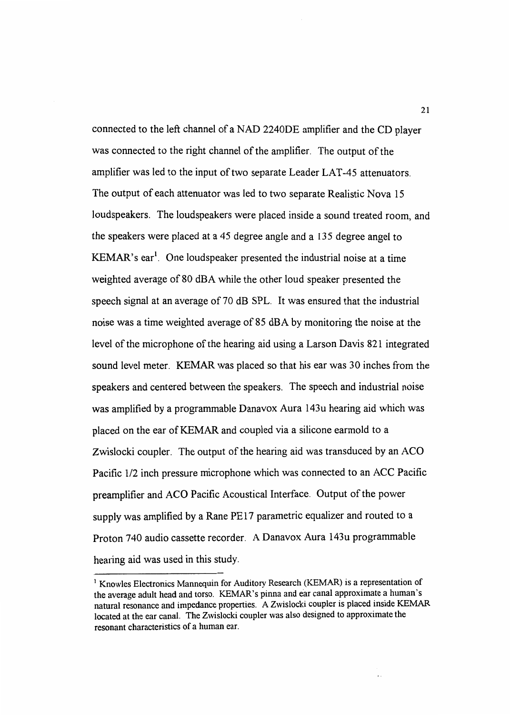connected to the left channel of a NAD 2240DE amplifier and the CD player was connected to the right channel of the amplifier. The output of the amplifier was led to the input of two separate Leader LAT-45 attenuators. The output of each attenuator was led to two separate Realistic Nova 15 loudspeakers. The loudspeakers were placed inside a sound treated room, and the speakers were placed at a 45 degree angle and a 135 degree angel to KEMAR's ear<sup>1</sup>. One loudspeaker presented the industrial noise at a time weighted average of 80 dBA while the other loud speaker presented the speech signal at an average of 70 dB SPL. It was ensured that the industrial noise was a time weighted average of 85 dBA by monitoring the noise at the level of the microphone of the hearing aid using a Larson Davis 821 integrated sound level meter. KEMAR was placed so that his ear was 30 inches from the speakers and centered between the speakers. The speech and industrial noise was amplified by a programmable Danavox Aura 143u hearing aid which was placed on the ear of KEMAR and coupled via a silicone earmold to a Zwislocki coupler. The output of the hearing aid was transduced by an ACO Pacific 1/2 inch pressure microphone which was connected to an ACC Pacific preamplifier and ACO Pacific Acoustical Interface. Output of the power supply was amplified by a Rane PE17 parametric equalizer and routed to a Proton 740 audio cassette recorder. A Danavox Aura 143u programmable hearing aid was used in this study.

<sup>&</sup>lt;sup>1</sup> Knowles Electronics Mannequin for Auditory Research (KEMAR) is a representation of the average adult head and torso. KEMAR's pinna and ear canal approximate a human's natural resonance and impedance properties. A Zwislocki coupler is placed inside KEMAR located at the ear canal. The Zwislocki coupler was also designed to approximate the resonant characteristics of a human ear.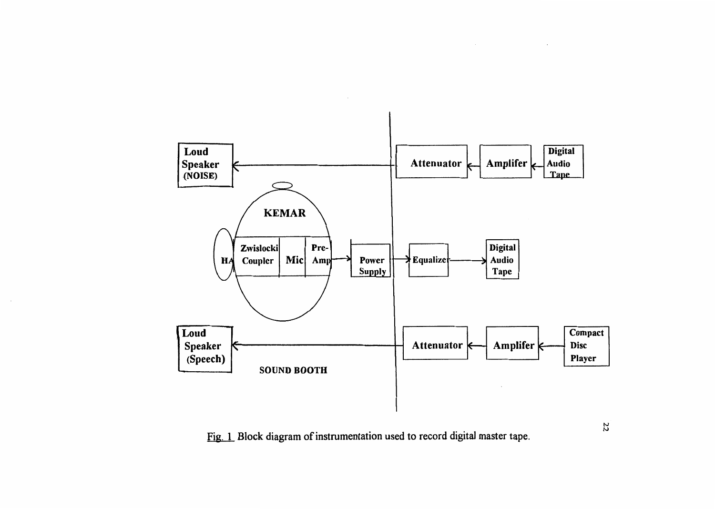

Fig. 1 Block diagram of instrumentation used to record digital master tape.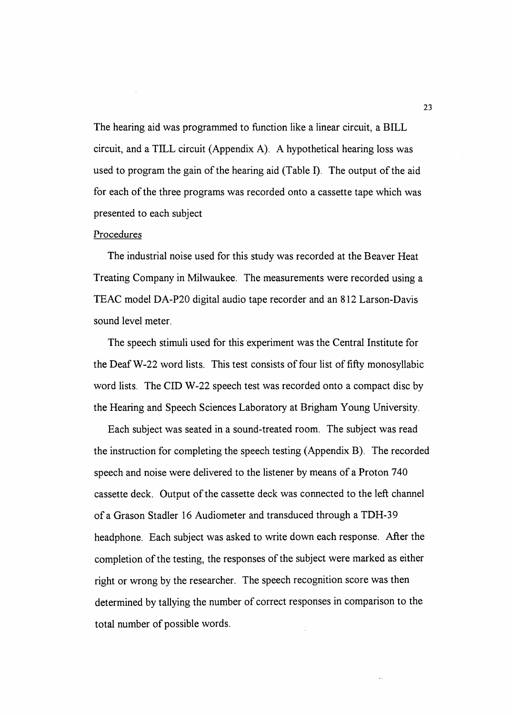The hearing aid was programmed to function like a linear circuit, a BILL circuit, and a TILL circuit (Appendix A). A hypothetical hearing loss was used to program the gain of the hearing aid (Table I). The output of the aid for each of the three programs was recorded onto a cassette tape which was presented to each subject

#### Procedures

The industrial noise used for this study was recorded at the Beaver Heat Treating Company in Milwaukee. The measurements were recorded using a TEAC model DA-P20 digital audio tape recorder and an 812 Larson-Davis sound level meter.

The speech stimuli used for this experiment was the Central Institute for the DeafW-22 word lists. This test consists of four list of fifty monosyllabic word lists. The CID W-22 speech test was recorded onto a compact disc by the Hearing and Speech Sciences Laboratory at Brigham Young University.

Each subject was seated in a sound-treated room. The subject was read the instruction for completing the speech testing (Appendix B). The recorded speech and noise were delivered to the listener by means of a Proton 740 cassette deck. Output of the cassette deck was connected to the left channel of a Grason Stadler 16 Audiometer and transduced through a TDH-39 headphone. Each subject was asked to write down each response. After the completion of the testing, the responses of the subject were marked as either right or wrong by the researcher. The speech recognition score was then determined by tallying the number of correct responses in comparison to the total number of possible words.

 $\epsilon_{\rm B}$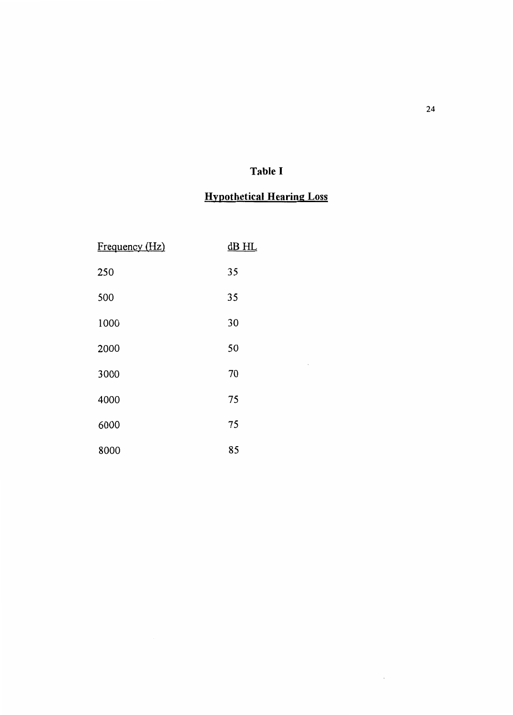### **Table I**

### **Hypothetical Hearing** Loss

 $\bar{z}$ 

 $\bar{\beta}$ 

| Frequency (Hz) | $dB$ HL |
|----------------|---------|
| 250            | 35      |
| 500            | 35      |
| 1000           | 30      |
| 2000           | 50      |
| 3000           | 70      |
| 4000           | 75      |
| 6000           | 75      |
| 8000           | 85      |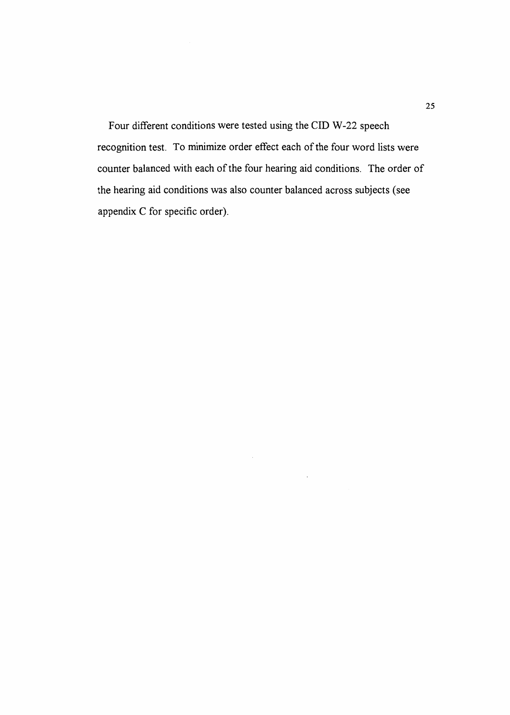Four different conditions were tested using the CID W-22 speech recognition test. To minimize order effect each of the four word lists were counter balanced with each of the four hearing aid conditions. The order of the hearing aid conditions was also counter balanced across subjects (see appendix C for specific order).

 $\sim$ 

 $\epsilon$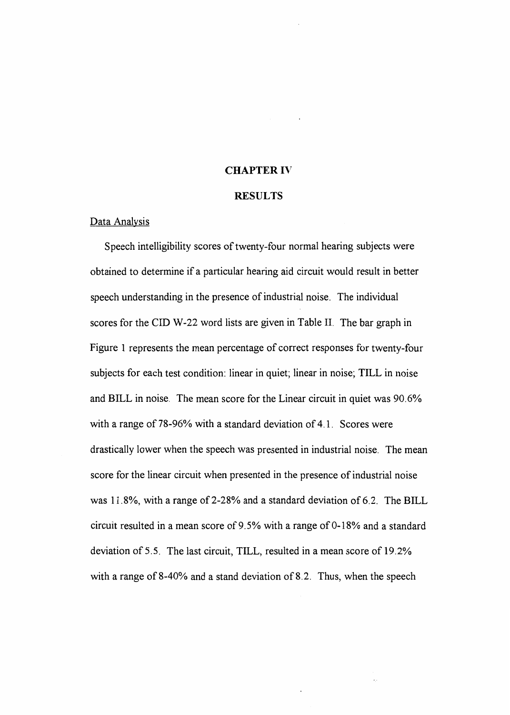#### CHAPTER IV

#### RESULTS

#### Data Analysis

Speech intelligibility scores of twenty-four normal hearing subjects were obtained to determine if a particular hearing aid circuit would result in better speech understanding in the presence of industrial noise. The individual scores for the CID W-22 word lists are given in Table II. The bar graph in Figure 1 represents the mean percentage of correct responses for twenty-four subjects for each test condition: linear in quiet; linear in noise; TILL in noise and BILL in noise. The mean score for the Linear circuit in quiet was 90. 6% with a range of 78-96% with a standard deviation of 4.1. Scores were drastically lower when the speech was presented in industrial noise. The mean score for the linear circuit when presented in the presence of industrial noise was 11.8%, with a range of 2-28% and a standard deviation of 6.2. The BILL circuit resulted in a mean score of  $9.5\%$  with a range of 0-18% and a standard deviation of 5.5. The last circuit, TILL, resulted in a mean score of 19.2% with a range of 8-40% and a stand deviation of 8.2. Thus, when the speech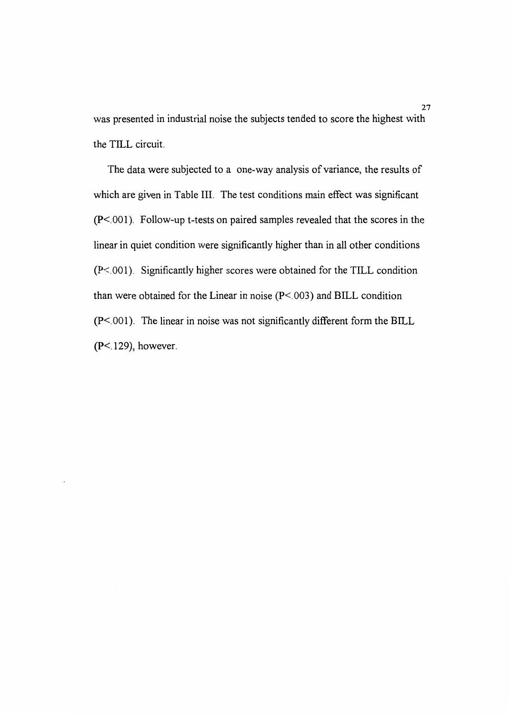was presented in industrial noise the subjects tended to score the highest with the TILL circuit.

The data were subjected to a one-way analysis of variance, the results of which are given in Table III. The test conditions main effect was significant (P<.001). Follow-up t-tests on paired samples revealed that the scores in the linear in quiet condition were significantly higher than in all other conditions (P<.001). Significantly higher scores were obtained for the TILL condition than were obtained for the Linear in noise (P<. 003) and BILL condition (P<.001). The linear in noise was not significantly different form the BILL (P<.129), however.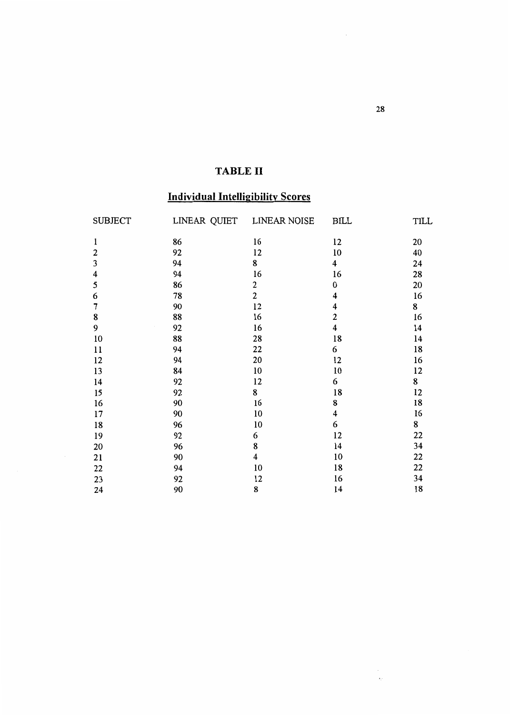### TABLE II

### Individual Intelligibility Scores

| <b>SUBJECT</b> | LINEAR QUIET | <b>LINEAR NOISE</b>     | <b>BILL</b>             | TILL |
|----------------|--------------|-------------------------|-------------------------|------|
| ı              | 86           | 16                      | 12                      | 20   |
| $\mathbf{2}$   | 92           | 12                      | 10                      | 40   |
| 3              | 94           | 8                       | 4                       | 24   |
| 4              | 94           | 16                      | 16                      | 28   |
| 5              | 86           | $\overline{\mathbf{c}}$ | 0                       | 20   |
| 6              | 78           | $\overline{c}$          | 4                       | 16   |
| 7              | 90           | 12                      | 4                       | 8    |
| 8              | 88           | 16                      | 2                       | 16   |
| 9              | 92           | 16                      | $\overline{\mathbf{4}}$ | 14   |
| 10             | 88           | 28                      | 18                      | 14   |
| 11             | 94           | 22                      | 6                       | 18   |
| 12             | 94           | 20                      | 12                      | 16   |
| 13             | 84           | 10                      | 10                      | 12   |
| 14             | 92           | 12                      | 6                       | 8    |
| 15             | 92           | 8                       | 18                      | 12   |
| 16             | 90           | 16                      | 8                       | 18   |
| 17             | 90           | 10                      | 4                       | 16   |
| 18             | 96           | 10                      | 6                       | 8    |
| 19             | 92           | 6                       | 12                      | 22   |
| 20             | 96           | 8                       | 14                      | 34   |
| 21             | 90           | $\overline{\mathbf{4}}$ | 10                      | 22   |
| 22             | 94           | 10                      | 18                      | 22   |
| 23             | 92           | 12                      | 16                      | 34   |
| 24             | 90           | 8                       | 14                      | 18   |

28

 $\frac{d\mathcal{L}}{dt} = \frac{1}{2\pi}\frac{d\mathcal{L}}{dt}$ 

 $\mathcal{L}_{\mathcal{A}}$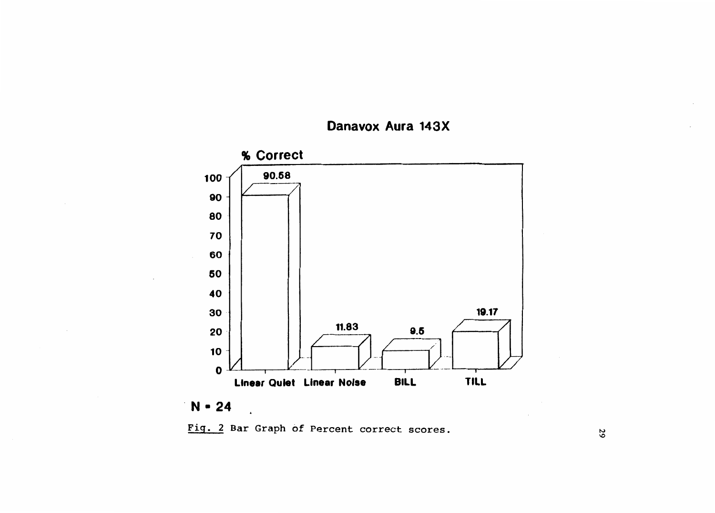



# . N • 24

 $\ddot{\phantom{a}}$ 

Fig. 2 Bar Graph of Percent correct scores.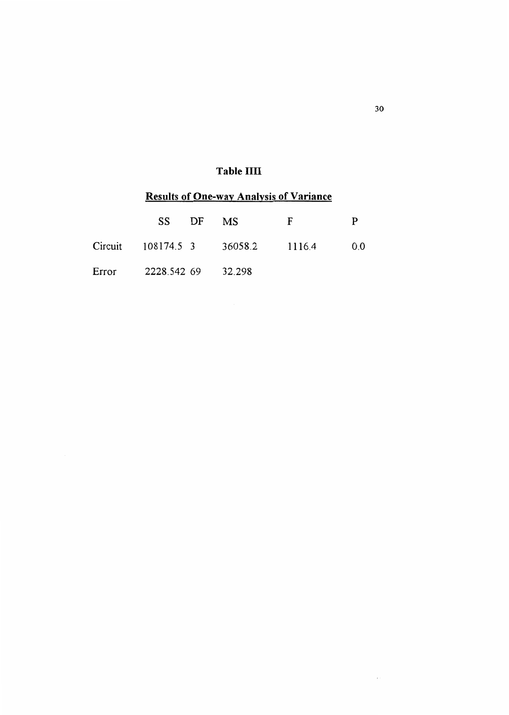### Table IIII

### Results of One-way Analysis of Variance

| SS DF                    | MS.            | F | p  |
|--------------------------|----------------|---|----|
| Circuit 108174.5 3       | 36058.2 1116.4 |   | 00 |
| Error 2228.542 69 32.298 |                |   |    |

30

 $\sim$   $\sim$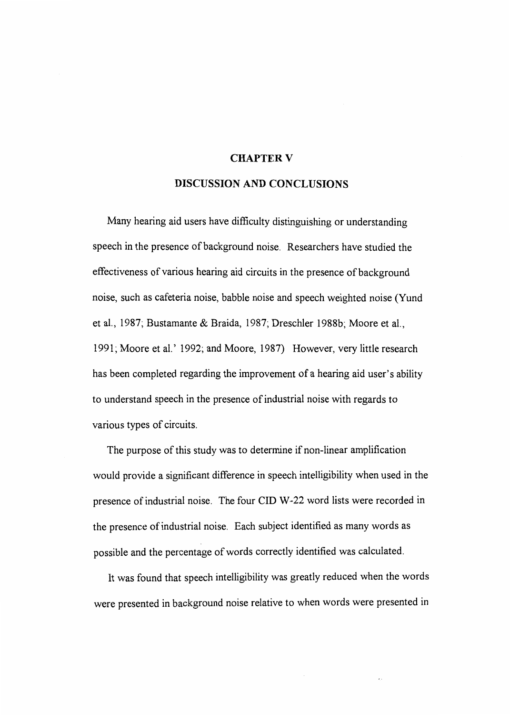#### **CHAPTER V**

#### DISCUSSION AND CONCLUSIONS

Many hearing aid users have difficulty distinguishing or understanding speech in the presence of background noise. Researchers have studied the effectiveness of various hearing aid circuits in the presence of background noise, such as cafeteria noise, babble noise and speech weighted noise (Yund et al., 1987; Bustamante & Braida, 1987; Dreschler 1988b; Moore et al., 1991; Moore et al.' 1992; and Moore, 1987) However, very little research has been completed regarding the improvement of a hearing aid user's ability to understand speech in the presence of industrial noise with regards to various types of circuits.

The purpose of this study was to determine if non-linear amplification would provide a significant difference in speech intelligibility when used in the presence of industrial noise. The four CID W-22 word lists were recorded in the presence of industrial noise. Each subject identified as many words as possible and the percentage of words correctly identified was calculated.

It was found that speech intelligibility was greatly reduced when the words were presented in background noise relative to when words were presented in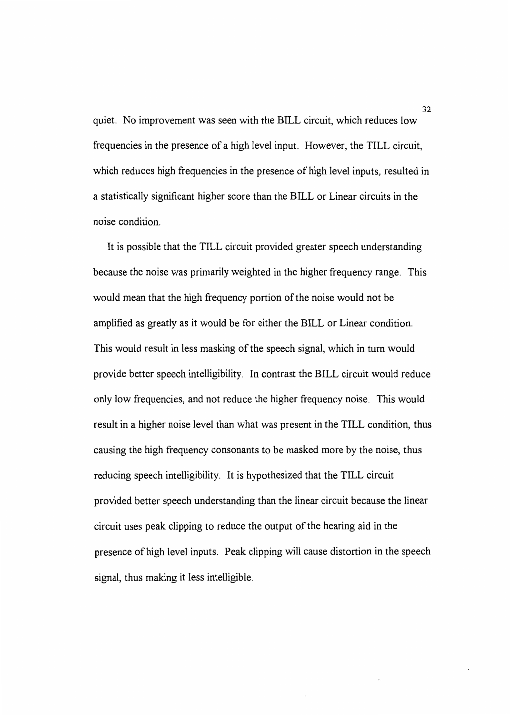quiet. No improvement was seen with the BILL circuit, which reduces low frequencies in the presence of a high level input. However, the TILL circuit, which reduces high frequencies in the presence of high level inputs, resulted in a statistically significant higher score than the BILL or Linear circuits in the noise condition.

It is possible that the TILL circuit provided greater speech understanding because the noise was primarily weighted in the higher frequency range. This would mean that the high frequency portion of the noise would not be amplified as greatly as it would be for either the BILL or Linear condition. This would result in less masking of the speech signal, which in tum would provide better speech intelligibility. In contrast the BILL circuit would reduce only low frequencies, and not reduce the higher frequency noise. This would result in a higher noise level than what was present in the TILL condition, thus causing the high frequency consonants to be masked more by the noise, thus reducing speech intelligibility. It is hypothesized that the TILL circuit provided better speech understanding than the linear circuit because the linear circuit uses peak clipping to reduce the output of the hearing aid in the presence of high level inputs. Peak clipping will cause distortion in the speech signal, thus making it less intelligible.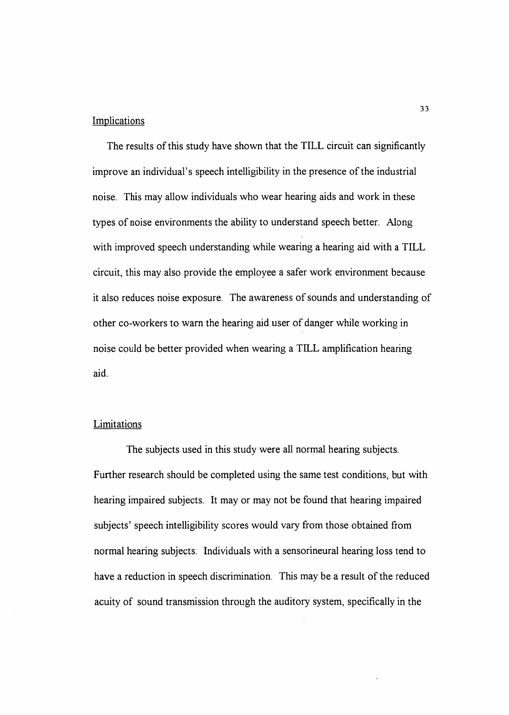#### Implications

The results of this study have shown that the TILL circuit can significantly improve an individual's speech intelligibility in the presence of the industrial noise. This may allow individuals who wear hearing aids and work in these types of noise environments the ability to understand speech better. Along with improved speech understanding while wearing a hearing aid with a TILL circuit, this may also provide the employee a safer work environment because it also reduces noise exposure. The awareness of sounds and understanding of other co-workers to warn the hearing aid user of danger while working in noise could be better provided when wearing a TILL amplification hearing aid.

#### **Limitations**

The subjects used in this study were all normal hearing subjects. Further research should be completed using the same test conditions, but with hearing impaired subjects. It may or may not be found that hearing impaired subjects' speech intelligibility scores would vary from those obtained from normal hearing subjects. Individuals with a sensorineural hearing loss tend to have a reduction in speech discrimination. This may be a result of the reduced acuity of sound transmission through the auditory system, specifically in the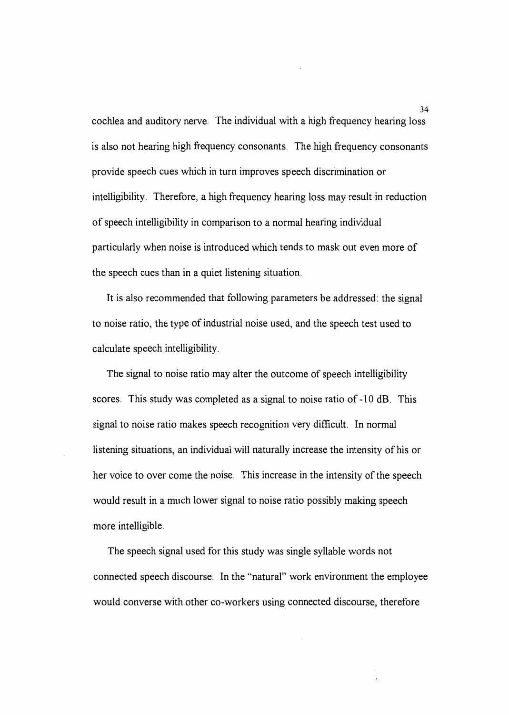cochlea and auditory nerve. The individual with a high frequency hearing loss is also not hearing high frequency consonants. The high frequency consonants provide speech cues which in tum improves speech discrimination or intelligibility. Therefore, a high frequency hearing loss may result in reduction of speech intelligibility in comparison to a normal hearing individual particularly when noise is introduced which tends to mask out even more of the speech cues than in a quiet listening situation.

It is also recommended that following parameters be addressed: the signal to noise ratio, the type of industrial noise used, and the speech test used to calculate speech intelligibility.

The signal to noise ratio may alter the outcome of speech intelligibility scores. This study was completed as a signal to noise ratio of -10 dB. This signal to noise ratio makes speech recognition very difficult. In normal listening situations, an individual will naturally increase the intensity of his or her voice to over come the noise. This increase in the intensity of the speech would result in a much lower signal to noise ratio possibly making speech more intelligible.

The speech signal used for this study was single syllable words not connected speech discourse. In the "natural" work environment the employee would converse with other co-workers using connected discourse, therefore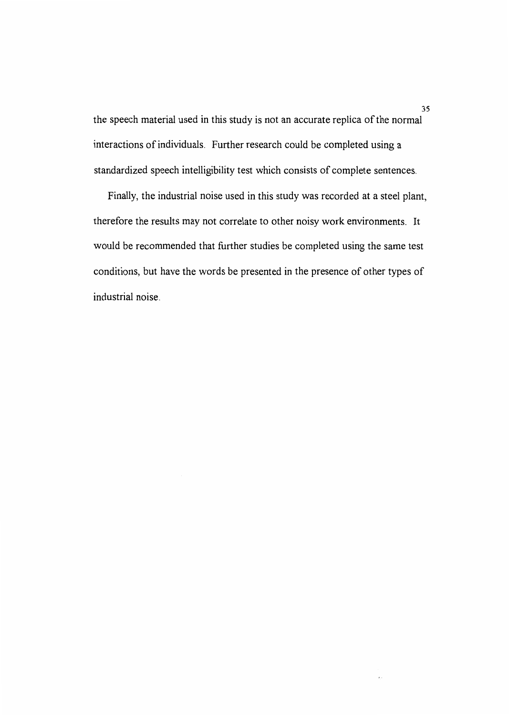the speech material used in this study is not an accurate replica of the normal interactions of individuals. Further research could be completed using a standardized speech intelligibility test which consists of complete sentences.

Finally, the industrial noise used in this study was recorded at a steel plant, therefore the results may not correlate to other noisy work environments. It would be recommended that further studies be completed using the same test conditions, but have the words be presented in the presence of other types of industrial noise.

i,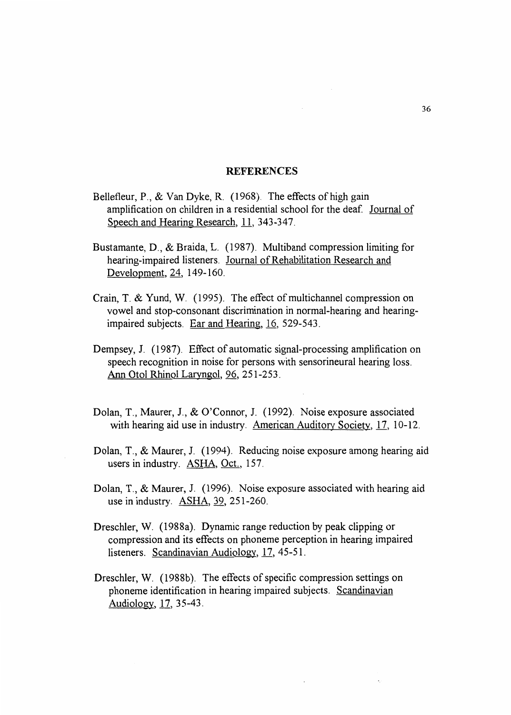#### REFERENCES

- Bellefleur, P., & Van Dyke, R. (1968). The effects of high gain amplification on children in a residential school for the deaf. Journal of Speech and Hearing Research, 11, 343-347.
- Bustamante, D., & Braida, L. (1987). Multiband compression limiting for hearing-impaired listeners. Journal of Rehabilitation Research and Development, 24, 149-160.
- Crain, T. & Yund, W. (1995). The effect of multichannel compression on vowel and stop-consonant discrimination in normal-hearing and hearingimpaired subjects. Ear and Hearing,  $16$ , 529-543.
- Dempsey, J. (1987). Effect of automatic signal-processing amplification on speech recognition in noise for persons with sensorineural hearing loss. Ann Otol Rhinol Laryngol, 96, 251-253.
- Dolan, T., Maurer, J., & O'Connor, J. (1992). Noise exposure associated with hearing aid use in industry. American Auditory Society, 17, 10-12.
- Dolan, T., & Maurer, J. (1994). Reducing noise exposure among hearing aid users in industry. ASHA, Oct., 157.
- Dolan, T., & Maurer, J. (1996). Noise exposure associated with hearing aid use in industry. **ASHA**, 39, 251-260.
- Dreschler, W. (1988a). Dynamic range reduction by peak clipping or compression and its effects on phoneme perception in hearing impaired listeners. Scandinavian Audiology, 17, 45-51.
- Dreschler, W. (1988b). The effects of specific compression settings on phoneme identification in hearing impaired subjects. Scandinavian Audiology, 17, 35-43.

 $\ddot{\phantom{a}}$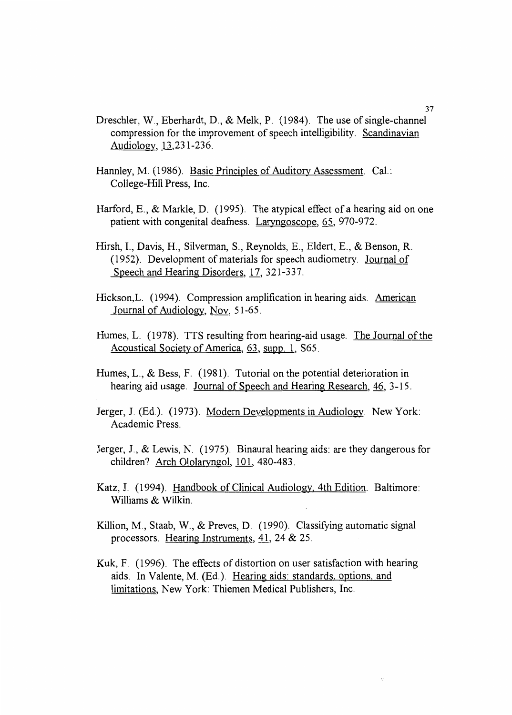- Dreschler, W., Eberhardt, D., & Melk, P. (1984). The use of single-channel compression for the improvement of speech intelligibility. Scandinavian Audiology,  $13,231-236$ .
- Hannley, M. (1986). Basic Principles of Auditory Assessment. Cal.: College-Hill Press, Inc.
- Harford, E., & Markle, D. (1995). The atypical effect of a hearing aid on one patient with congenital deafness. Laryngoscope, 65, 970-972.
- Hirsh, I., Davis, H., Silverman, S., Reynolds, E., Eldert, E., & Benson, R. (1952). Development of materials for speech audiometry. Journal of Speech and Hearing Disorders, 17, 321-337.
- Hickson, L. (1994). Compression amplification in hearing aids. American Journal of Audiology, Nov, 51-65.
- Humes, L. (1978). TTS resulting from hearing-aid usage. The Journal of the Acoustical Society of America, 63, supp. 1, S65.
- Humes, L., & Bess, F. (1981). Tutorial on the potential deterioration in hearing aid usage. Journal of Speech and Hearing Research, 46, 3-15.
- Jerger, J. (Ed.). (1973). Modern Developments in Audiology. New York: Academic Press.
- Jerger, J., & Lewis, N. (1975). Binaural hearing aids: are they dangerous for children? Arch Ololaryngol, 101, 480-483.
- Katz, J. (1994). Handbook of Clinical Audiology, 4th Edition. Baltimore: Williams & Wilkin.
- Killion, M., Staab, W., & Preves, D. (1990). Classifying automatic signal processors. Hearing Instruments, 41, 24 & 25.
- Kuk, F. (1996). The effects of distortion on user satisfaction with hearing aids. In Valente, M. (Ed.). Hearing aids: standards. options, and limitations, New York: Thiemen Medical Publishers, Inc.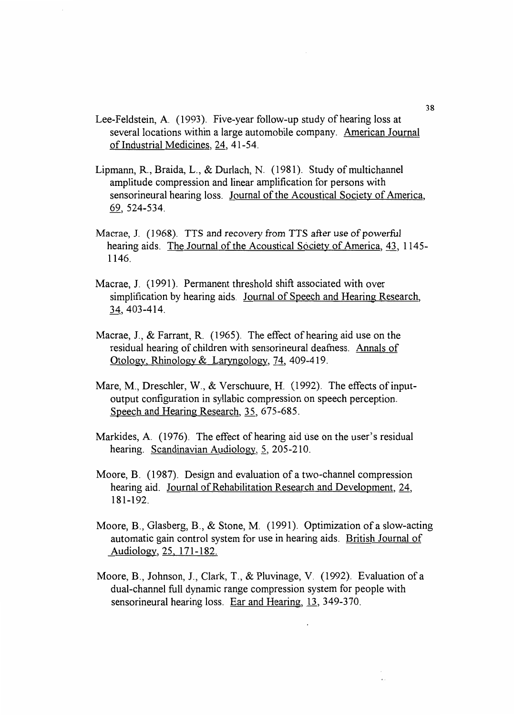- Lee-Feldstein, A. (1993). Five-year follow-up study of hearing loss at several locations within a large automobile company. American Journal of Industrial Medicines, 24, 41-54.
- Lipmann, R., Braida, L., & Durlach, N. (1981). Study of multichannel amplitude compression and linear amplification for persons with sensorineural hearing loss. Journal of the Acoustical Society of America, 69, 524-534.
- Macrae, J. (1968). TTS and recovery from TTS after use of powerful hearing aids. The Journal of the Acoustical Society of America, 43, 1145-1146.
- Macrae, J. (1991). Permanent threshold shift associated with over simplification by hearing aids. Journal of Speech and Hearing Research, 34, 403-414.
- Macrae, J., & Farrant, R. (1965). The effect of hearing aid use on the residual hearing of children with sensorineural deafness. Annals of Otology, Rhinology & Laryngology, 74, 409-419.
- Mare, M., Dreschler, W., & Verschuure, H. (1992). The effects of inputoutput configuration in syllabic compression on speech perception. Speech and Hearing Research, 35, 675-685.
- Markides, A. (1976). The effect of hearing aid use on the user's residual hearing. Scandinavian Audiology, 5, 205-210.
- Moore, B. (1987). Design and evaluation of a two-channel compression hearing aid. Journal of Rehabilitation Research and Development, 24, 181-192.
- Moore, B., Glasberg, B., & Stone, M. (1991). Optimization of a slow-acting automatic gain control system for use in hearing aids. British Journal of Audiology, 25. 171-182.
- Moore, B., Johnson, J., Clark, T., & Pluvinage, V. (1992). Evaluation of a dual-channel full dynamic range compression system for people with sensorineural hearing loss. Ear and Hearing, 13, 349-370.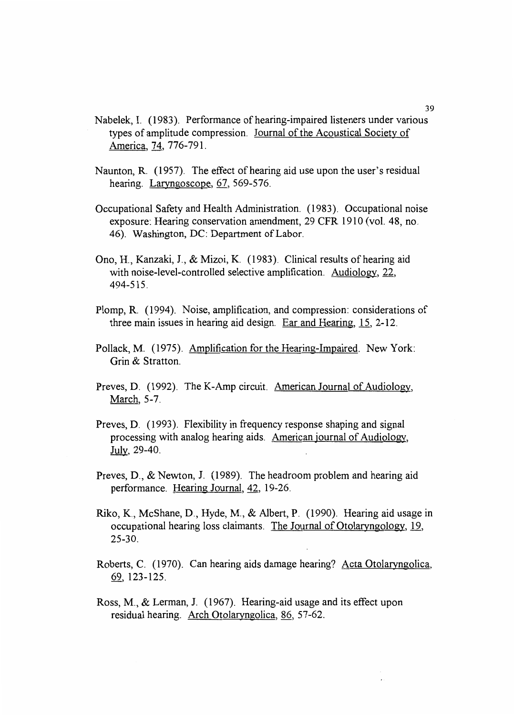- Nabelek, I. (1983). Performance of hearing-impaired listeners under various types of amplitude compression. Journal of the Acoustical Society of America, 74, 776-791.
- Naunton, R. (1957). The effect of hearing aid use upon the user's residual hearing. Laryngoscope, 67, 569-576.
- Occupational Safety and Health Administration. (1983). Occupational noise exposure: Hearing conservation amendment, 29 CFR 1910 (vol. 48, no. 46). Washington, DC: Department of Labor.
- Ono, H., Kanzaki, J., & Mizoi, K. (1983). Clinical results of hearing aid with noise-level-controlled selective amplification. Audiology, 22, 494-515.
- Plomp, R. (1994). Noise, amplification, and compression: considerations of three main issues in hearing aid design. Ear and Hearing,  $15$ ,  $2-12$ .
- Pollack, M. (1975). Amplification for the Hearing-Impaired. New York: Grin & Stratton.
- Preves, D. (1992). The K-Amp circuit. American Journal of Audiology, March, 5-7.
- Preves, D. (1993). Flexibility in frequency response shaping and signal processing with analog hearing aids. American journal of Audiology, July, 29-40.
- Preves, D., & Newton, J. (1989). The headroom problem and hearing aid performance. Hearing Journal, 42, 19-26.
- Riko, K., McShane, D., Hyde, M., & Albert, P. (1990). Hearing aid usage in occupational hearing loss claimants. The Journal of Otolaryngology, 19, 25-30.
- Roberts, C. (1970). Can hearing aids damage hearing? Acta Otolaryngolica, 69, 123-125.
- Ross, M., & Lerman, J. (1967). Hearing-aid usage and its effect upon residual hearing. Arch Otolaryngolica, 86, 57-62.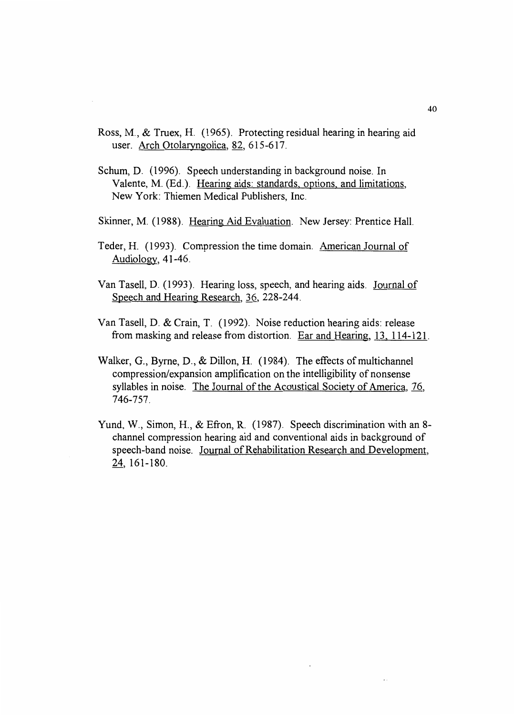- Ross, M., & Truex, H. (1965). Protecting residual hearing in hearing aid user. Arch Otolaryngolica, 82, 615-617.
- Schum, D. (1996). Speech understanding in background noise. In Valente, M. (Ed.). Hearing aids: standards. options. and limitations, New York: Thiemen Medical Publishers, Inc.
- Skinner, M. (1988). Hearing Aid Evaluation. New Jersey: Prentice Hall.
- Teder, H. (1993). Compression the time domain. American Journal of Audiology, 41-46.
- Van Tasell, D. (1993). Hearing loss, speech, and hearing aids. Journal of Speech and Hearing Research, 36, 228-244.
- Van Tasell, D. & Crain, T. (1992). Noise reduction hearing aids: release from masking and release from distortion. Ear and Hearing, 13, 114-121.
- Walker, G., Byrne, D., & Dillon, H. (1984). The effects of multichannel compression/expansion amplification on the intelligibility of nonsense syllables in noise. The Journal of the Acoustical Society of America, 76, 746-757.
- Yund, W., Simon, H., & Efron, R. (1987). Speech discrimination with an 8 channel compression hearing aid and conventional aids in background of speech-band noise. Journal of Rehabilitation Research and Development, 24, 161-180.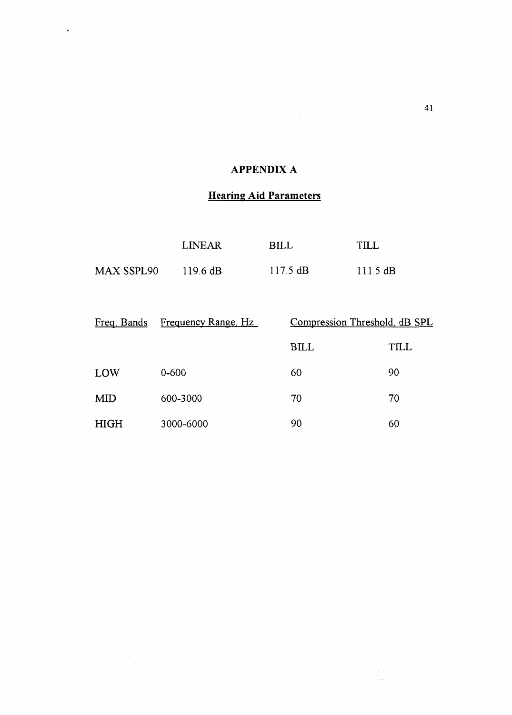### APPENDIX A

 $\frac{1}{2}$ 

 $\mathcal{A}^{\mathcal{A}}$  .

### Hearing Aid Parameters

|                   | LINEAR             | BILL               | TILL               |
|-------------------|--------------------|--------------------|--------------------|
| <b>MAX SSPL90</b> | $119.6 \text{ dB}$ | $117.5 \text{ dB}$ | $111.5 \text{ dB}$ |

| Freq. Bands | Frequency Range, Hz | Compression Threshold, dB SPL |      |
|-------------|---------------------|-------------------------------|------|
|             |                     | <b>BILL</b>                   | TILL |
| LOW         | 0-600               | 60                            | 90   |
| MID         | 600-3000            | 70                            | 70   |
| HIGH        | 3000-6000           | 90                            | 60   |

 $\frac{1}{\alpha_{\rm c}}$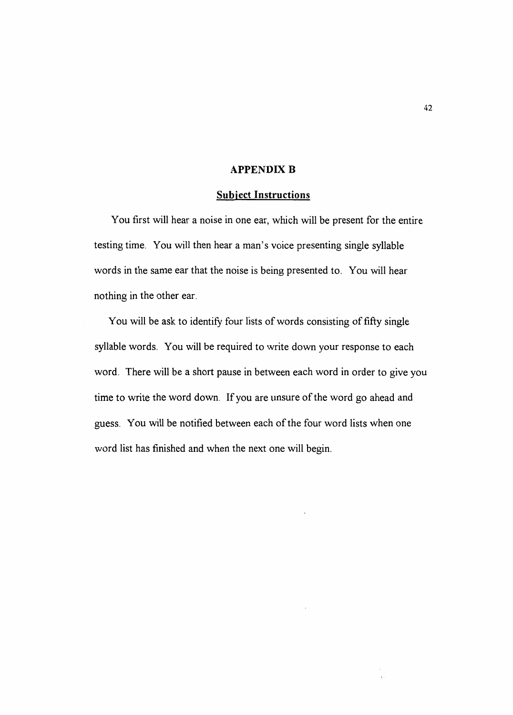#### **APPENDIX B**

#### Subject Instructions

You first will hear a noise in one ear, which will be present for the entire testing time. You will then hear a man's voice presenting single syllable words in the same ear that the noise is being presented to. You will hear nothing in the other ear.

You will be ask to identify four lists of words consisting of fifty single syllable words. You will be required to write down your response to each word. There will be a short pause in between each word in order to give you time to write the word down. If you are unsure of the word go ahead and guess. You will be notified between each of the four word lists when one word list has finished and when the next one will begin.